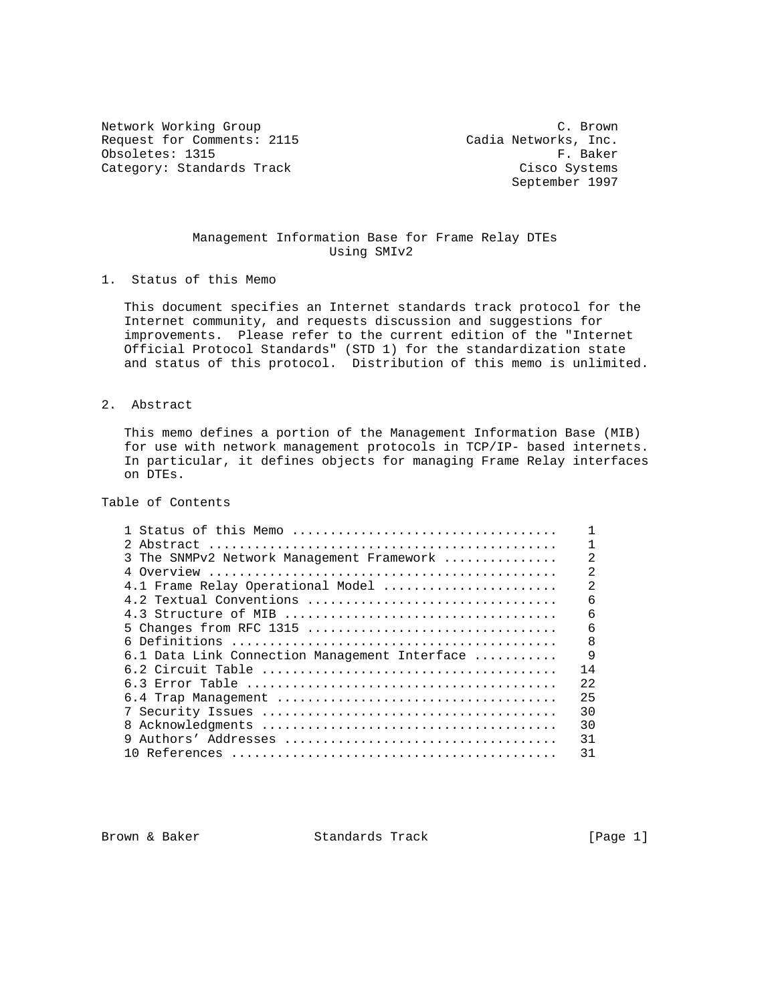Network Working Group C. Brown Request for Comments: 2115 Cadia Networks, Inc.<br>Obsoletes: 1315 F. Baker Obsoletes: 1315 Category: Standards Track Cisco Systems

September 1997

## Management Information Base for Frame Relay DTEs Using SMIv2

1. Status of this Memo

 This document specifies an Internet standards track protocol for the Internet community, and requests discussion and suggestions for improvements. Please refer to the current edition of the "Internet Official Protocol Standards" (STD 1) for the standardization state and status of this protocol. Distribution of this memo is unlimited.

## 2. Abstract

 This memo defines a portion of the Management Information Base (MIB) for use with network management protocols in TCP/IP- based internets. In particular, it defines objects for managing Frame Relay interfaces on DTEs.

Table of Contents

| 1 Status of this Memo                         |                |
|-----------------------------------------------|----------------|
|                                               | 1              |
| 3 The SNMPv2 Network Management Framework     | $\mathfrak{D}$ |
|                                               | $\mathfrak{D}$ |
| 4.1 Frame Relay Operational Model             | $\overline{a}$ |
| 4.2 Textual Conventions                       | 6              |
|                                               | 6              |
|                                               | 6              |
|                                               | 8              |
| 6.1 Data Link Connection Management Interface | 9              |
|                                               | 14             |
|                                               | 22             |
|                                               | 25             |
|                                               | 30             |
| 8                                             | 30             |
|                                               | 31             |
|                                               | 31             |
|                                               |                |

Brown & Baker Standards Track [Page 1]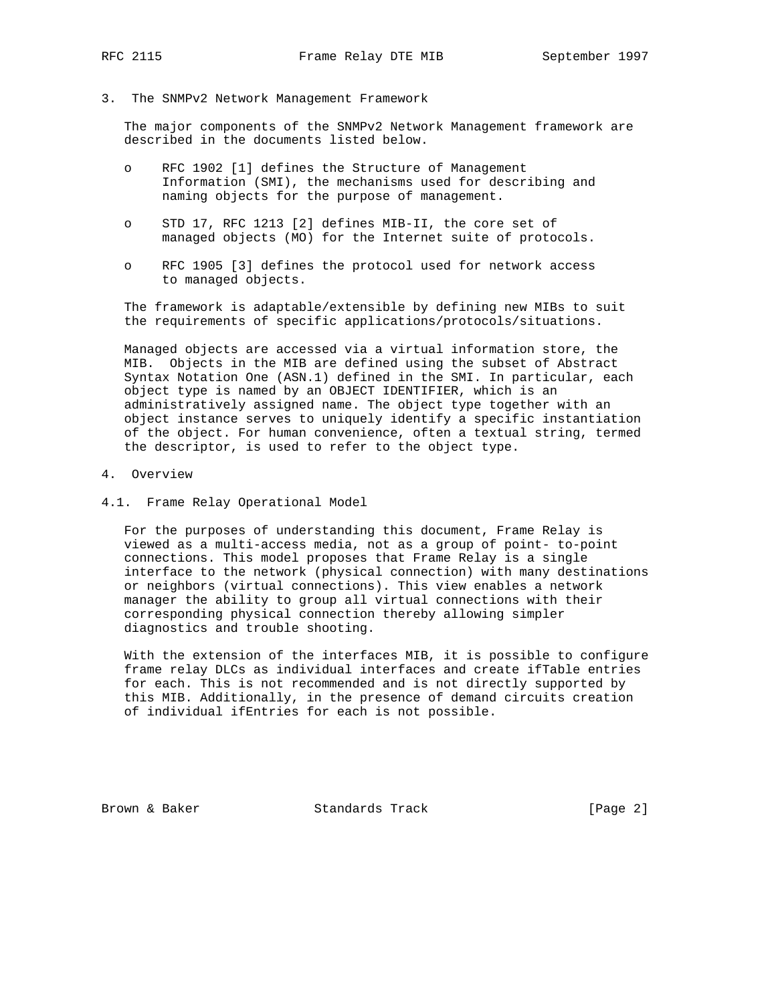3. The SNMPv2 Network Management Framework

 The major components of the SNMPv2 Network Management framework are described in the documents listed below.

- o RFC 1902 [1] defines the Structure of Management Information (SMI), the mechanisms used for describing and naming objects for the purpose of management.
- o STD 17, RFC 1213 [2] defines MIB-II, the core set of managed objects (MO) for the Internet suite of protocols.
- o RFC 1905 [3] defines the protocol used for network access to managed objects.

 The framework is adaptable/extensible by defining new MIBs to suit the requirements of specific applications/protocols/situations.

 Managed objects are accessed via a virtual information store, the MIB. Objects in the MIB are defined using the subset of Abstract Syntax Notation One (ASN.1) defined in the SMI. In particular, each object type is named by an OBJECT IDENTIFIER, which is an administratively assigned name. The object type together with an object instance serves to uniquely identify a specific instantiation of the object. For human convenience, often a textual string, termed the descriptor, is used to refer to the object type.

- 4. Overview
- 4.1. Frame Relay Operational Model

 For the purposes of understanding this document, Frame Relay is viewed as a multi-access media, not as a group of point- to-point connections. This model proposes that Frame Relay is a single interface to the network (physical connection) with many destinations or neighbors (virtual connections). This view enables a network manager the ability to group all virtual connections with their corresponding physical connection thereby allowing simpler diagnostics and trouble shooting.

 With the extension of the interfaces MIB, it is possible to configure frame relay DLCs as individual interfaces and create ifTable entries for each. This is not recommended and is not directly supported by this MIB. Additionally, in the presence of demand circuits creation of individual ifEntries for each is not possible.

Brown & Baker Standards Track [Page 2]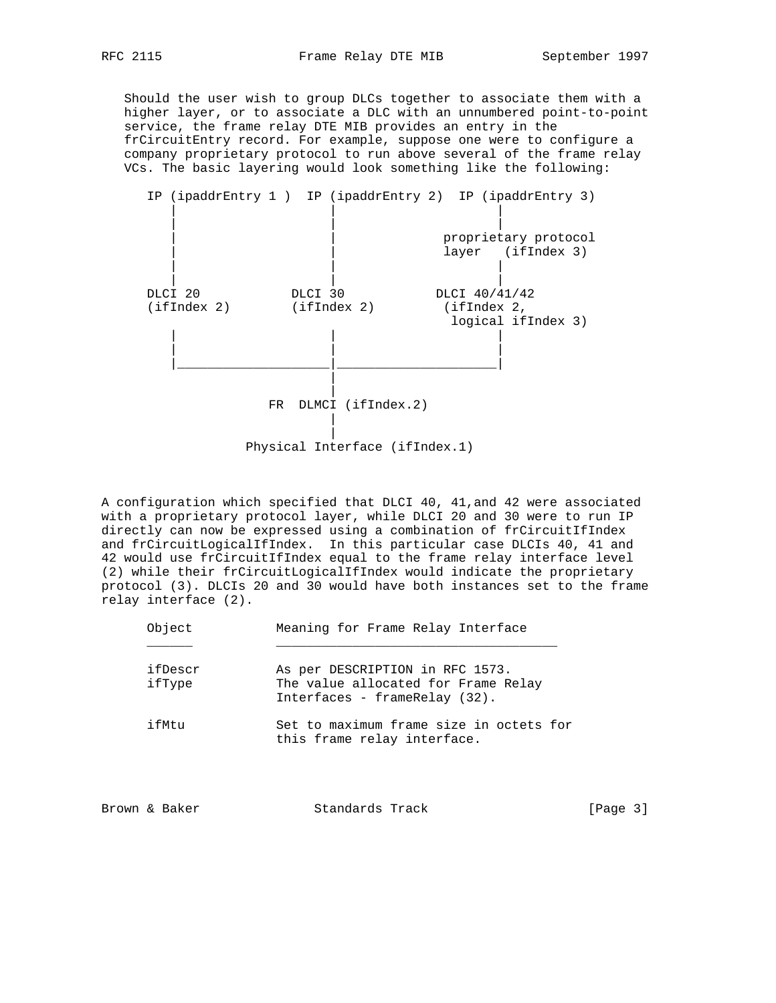Should the user wish to group DLCs together to associate them with a higher layer, or to associate a DLC with an unnumbered point-to-point service, the frame relay DTE MIB provides an entry in the frCircuitEntry record. For example, suppose one were to configure a company proprietary protocol to run above several of the frame relay VCs. The basic layering would look something like the following:



A configuration which specified that DLCI 40, 41,and 42 were associated with a proprietary protocol layer, while DLCI 20 and 30 were to run IP directly can now be expressed using a combination of frCircuitIfIndex and frCircuitLogicalIfIndex. In this particular case DLCIs 40, 41 and 42 would use frCircuitIfIndex equal to the frame relay interface level (2) while their frCircuitLogicalIfIndex would indicate the proprietary protocol (3). DLCIs 20 and 30 would have both instances set to the frame relay interface (2).

| Object            | Meaning for Frame Relay Interface                                                                       |
|-------------------|---------------------------------------------------------------------------------------------------------|
| ifDescr<br>ifType | As per DESCRIPTION in RFC 1573.<br>The value allocated for Frame Relay<br>Interfaces - frameRelay (32). |
| ifMtu             | Set to maximum frame size in octets for<br>this frame relay interface.                                  |

| [Page $3$ ]<br>Standards Track<br>Brown & Baker |
|-------------------------------------------------|
|-------------------------------------------------|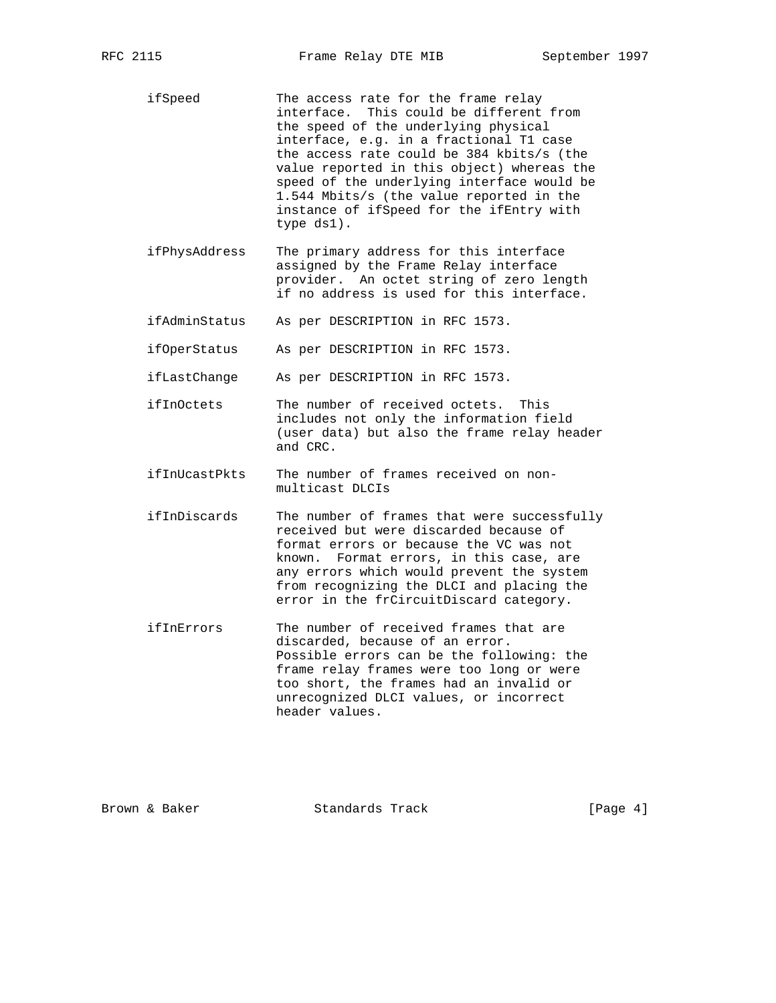ifSpeed The access rate for the frame relay interface. This could be different from the speed of the underlying physical interface, e.g. in a fractional T1 case the access rate could be 384 kbits/s (the value reported in this object) whereas the speed of the underlying interface would be 1.544 Mbits/s (the value reported in the instance of ifSpeed for the ifEntry with type ds1).

- ifPhysAddress The primary address for this interface assigned by the Frame Relay interface provider. An octet string of zero length if no address is used for this interface.
- ifAdminStatus As per DESCRIPTION in RFC 1573.

ifOperStatus As per DESCRIPTION in RFC 1573.

- ifLastChange As per DESCRIPTION in RFC 1573.
- ifInOctets The number of received octets. This includes not only the information field (user data) but also the frame relay header and CRC.
- ifInUcastPkts The number of frames received on non multicast DLCIs
- ifInDiscards The number of frames that were successfully received but were discarded because of format errors or because the VC was not known. Format errors, in this case, are any errors which would prevent the system from recognizing the DLCI and placing the error in the frCircuitDiscard category.
- ifInErrors The number of received frames that are discarded, because of an error. Possible errors can be the following: the frame relay frames were too long or were too short, the frames had an invalid or unrecognized DLCI values, or incorrect header values.

Brown & Baker Standards Track (Page 4)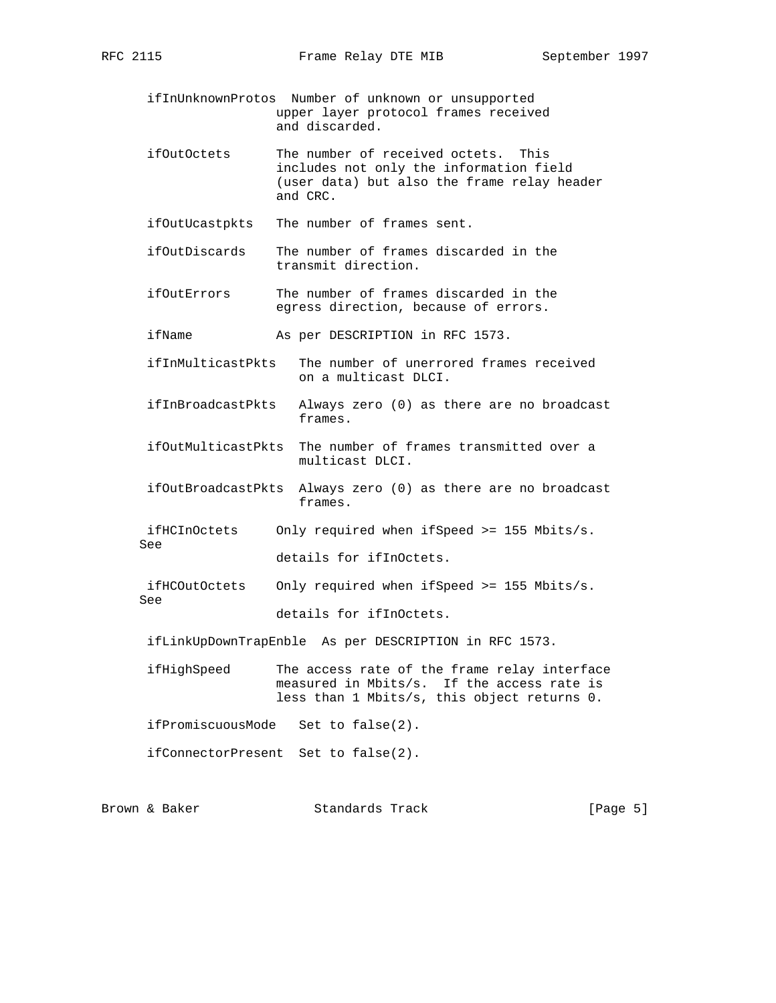- ifInUnknownProtos Number of unknown or unsupported upper layer protocol frames received and discarded.
- ifOutOctets The number of received octets. This includes not only the information field (user data) but also the frame relay header and CRC.

ifOutUcastpkts The number of frames sent.

- ifOutDiscards The number of frames discarded in the transmit direction.
- ifOutErrors The number of frames discarded in the egress direction, because of errors.
- ifName As per DESCRIPTION in RFC 1573.
- ifInMulticastPkts The number of unerrored frames received on a multicast DLCI.
- ifInBroadcastPkts Always zero (0) as there are no broadcast frames.
- ifOutMulticastPkts The number of frames transmitted over a multicast DLCI.
- ifOutBroadcastPkts Always zero (0) as there are no broadcast frames.
- ifHCInOctets Only required when ifSpeed >= 155 Mbits/s. See

details for ifInOctets.

 ifHCOutOctets Only required when ifSpeed >= 155 Mbits/s. See details for ifInOctets.

ifLinkUpDownTrapEnble As per DESCRIPTION in RFC 1573.

 ifHighSpeed The access rate of the frame relay interface measured in Mbits/s. If the access rate is less than 1 Mbits/s, this object returns 0.

ifPromiscuousMode Set to false(2).

ifConnectorPresent Set to false(2).

Brown & Baker Standards Track (Page 5)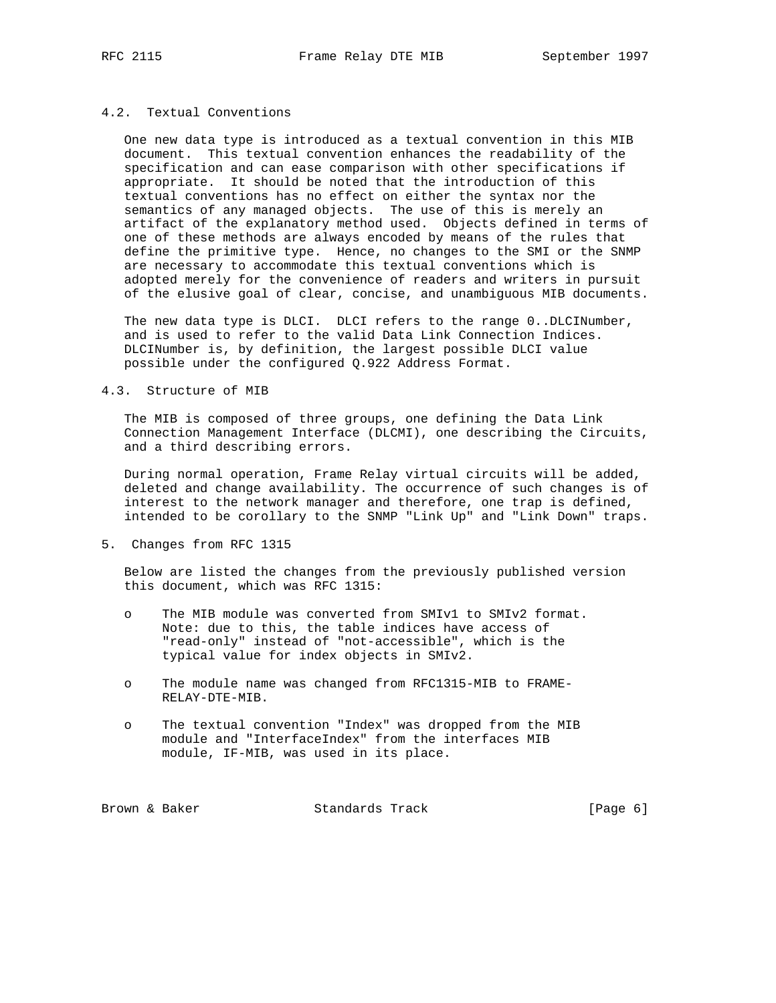## 4.2. Textual Conventions

 One new data type is introduced as a textual convention in this MIB document. This textual convention enhances the readability of the specification and can ease comparison with other specifications if appropriate. It should be noted that the introduction of this textual conventions has no effect on either the syntax nor the semantics of any managed objects. The use of this is merely an artifact of the explanatory method used. Objects defined in terms of one of these methods are always encoded by means of the rules that define the primitive type. Hence, no changes to the SMI or the SNMP are necessary to accommodate this textual conventions which is adopted merely for the convenience of readers and writers in pursuit of the elusive goal of clear, concise, and unambiguous MIB documents.

 The new data type is DLCI. DLCI refers to the range 0..DLCINumber, and is used to refer to the valid Data Link Connection Indices. DLCINumber is, by definition, the largest possible DLCI value possible under the configured Q.922 Address Format.

## 4.3. Structure of MIB

 The MIB is composed of three groups, one defining the Data Link Connection Management Interface (DLCMI), one describing the Circuits, and a third describing errors.

 During normal operation, Frame Relay virtual circuits will be added, deleted and change availability. The occurrence of such changes is of interest to the network manager and therefore, one trap is defined, intended to be corollary to the SNMP "Link Up" and "Link Down" traps.

5. Changes from RFC 1315

 Below are listed the changes from the previously published version this document, which was RFC 1315:

- o The MIB module was converted from SMIv1 to SMIv2 format. Note: due to this, the table indices have access of "read-only" instead of "not-accessible", which is the typical value for index objects in SMIv2.
- o The module name was changed from RFC1315-MIB to FRAME- RELAY-DTE-MIB.
- o The textual convention "Index" was dropped from the MIB module and "InterfaceIndex" from the interfaces MIB module, IF-MIB, was used in its place.

Brown & Baker Standards Track [Page 6]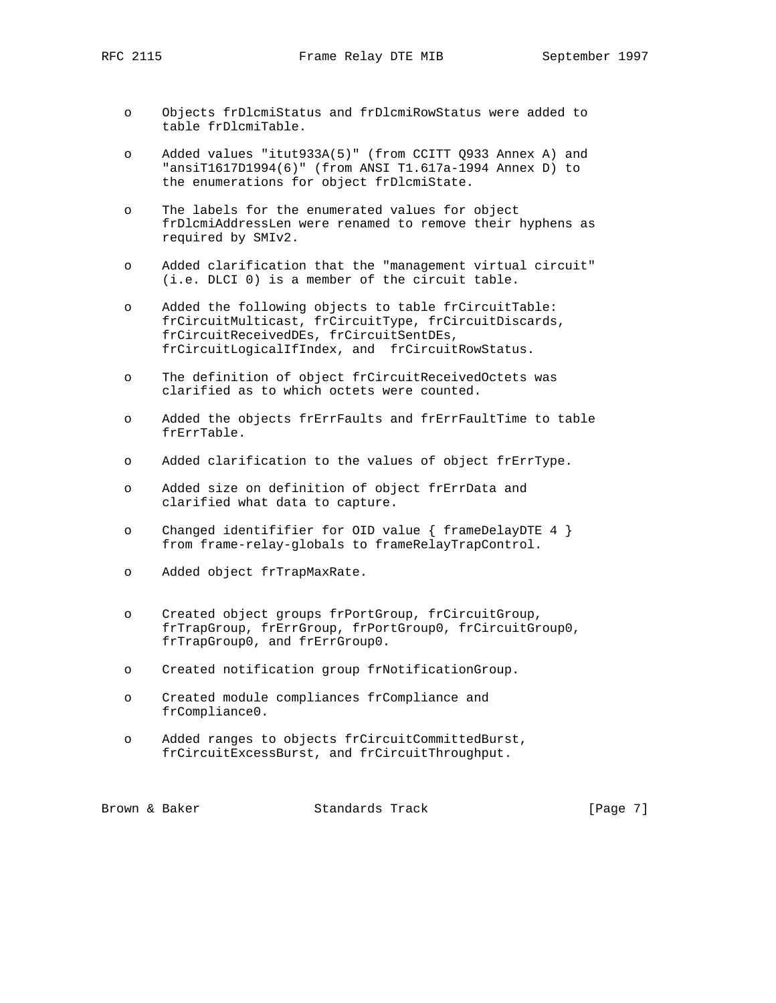RFC 2115 Frame Relay DTE MIB September 1997

- o Objects frDlcmiStatus and frDlcmiRowStatus were added to table frDlcmiTable.
- o Added values "itut933A(5)" (from CCITT Q933 Annex A) and "ansiT1617D1994(6)" (from ANSI T1.617a-1994 Annex D) to the enumerations for object frDlcmiState.
- o The labels for the enumerated values for object frDlcmiAddressLen were renamed to remove their hyphens as required by SMIv2.
- o Added clarification that the "management virtual circuit" (i.e. DLCI 0) is a member of the circuit table.
- o Added the following objects to table frCircuitTable: frCircuitMulticast, frCircuitType, frCircuitDiscards, frCircuitReceivedDEs, frCircuitSentDEs, frCircuitLogicalIfIndex, and frCircuitRowStatus.
- o The definition of object frCircuitReceivedOctets was clarified as to which octets were counted.
- o Added the objects frErrFaults and frErrFaultTime to table frErrTable.
- o Added clarification to the values of object frErrType.
- o Added size on definition of object frErrData and clarified what data to capture.
- o Changed identififier for OID value { frameDelayDTE 4 } from frame-relay-globals to frameRelayTrapControl.
- o Added object frTrapMaxRate.
- o Created object groups frPortGroup, frCircuitGroup, frTrapGroup, frErrGroup, frPortGroup0, frCircuitGroup0, frTrapGroup0, and frErrGroup0.
- o Created notification group frNotificationGroup.
- o Created module compliances frCompliance and frCompliance0.
- o Added ranges to objects frCircuitCommittedBurst, frCircuitExcessBurst, and frCircuitThroughput.

Brown & Baker Standards Track [Page 7]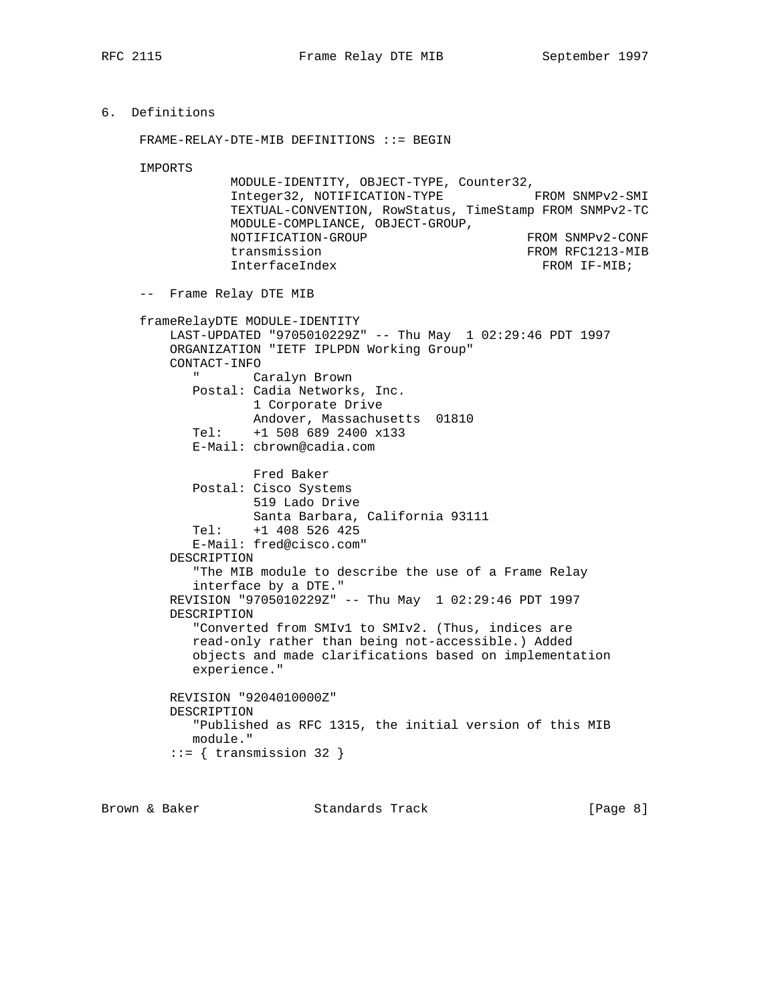```
6. Definitions
```
FRAME-RELAY-DTE-MIB DEFINITIONS ::= BEGIN

IMPORTS

| MODULE-IDENTITY, OBJECT-TYPE, Counter32,                |                  |
|---------------------------------------------------------|------------------|
| Integer32, NOTIFICATION-TYPE                            | FROM SNMPv2-SMI  |
| TEXTUAL-CONVENTION, RowStatus, TimeStamp FROM SNMPv2-TC |                  |
| MODULE-COMPLIANCE, OBJECT-GROUP,                        |                  |
| NOTIFICATION-GROUP                                      | FROM SNMPv2-CONF |
| transmission                                            | FROM RFC1213-MIB |
| InterfaceIndex                                          | FROM IF-MIB;     |

-- Frame Relay DTE MIB

```
 frameRelayDTE MODULE-IDENTITY
    LAST-UPDATED "9705010229Z" -- Thu May 1 02:29:46 PDT 1997
    ORGANIZATION "IETF IPLPDN Working Group"
    CONTACT-INFO
       " Caralyn Brown
       Postal: Cadia Networks, Inc.
               1 Corporate Drive
               Andover, Massachusetts 01810
        Tel: +1 508 689 2400 x133
        E-Mail: cbrown@cadia.com
               Fred Baker
       Postal: Cisco Systems
               519 Lado Drive
               Santa Barbara, California 93111
       Tel: +1 408 526 425
       E-Mail: fred@cisco.com"
    DESCRIPTION
        "The MIB module to describe the use of a Frame Relay
       interface by a DTE."
    REVISION "9705010229Z" -- Thu May 1 02:29:46 PDT 1997
    DESCRIPTION
        "Converted from SMIv1 to SMIv2. (Thus, indices are
       read-only rather than being not-accessible.) Added
        objects and made clarifications based on implementation
       experience."
    REVISION "9204010000Z"
    DESCRIPTION
       "Published as RFC 1315, the initial version of this MIB
       module."
    ::= { transmission 32 }
```
Brown & Baker Standards Track [Page 8]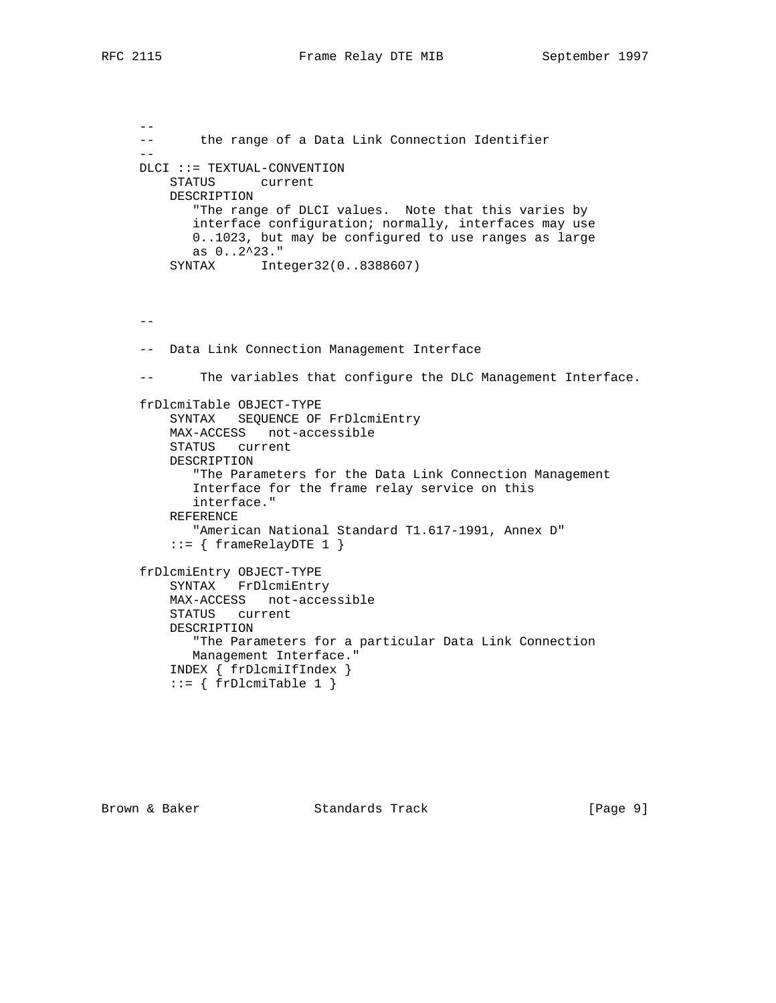$-$ 

 -- the range of a Data Link Connection Identifier -- DLCI ::= TEXTUAL-CONVENTION STATUS current DESCRIPTION "The range of DLCI values. Note that this varies by interface configuration; normally, interfaces may use 0..1023, but may be configured to use ranges as large as 0..2^23." SYNTAX Integer32(0..8388607)  $- -$  -- Data Link Connection Management Interface -- The variables that configure the DLC Management Interface. frDlcmiTable OBJECT-TYPE SYNTAX SEQUENCE OF FrDlcmiEntry MAX-ACCESS not-accessible STATUS current DESCRIPTION "The Parameters for the Data Link Connection Management Interface for the frame relay service on this interface." REFERENCE "American National Standard T1.617-1991, Annex D" ::= { frameRelayDTE 1 } frDlcmiEntry OBJECT-TYPE SYNTAX FrDlcmiEntry MAX-ACCESS not-accessible STATUS current DESCRIPTION "The Parameters for a particular Data Link Connection Management Interface." INDEX { frDlcmiIfIndex }  $::= \{ frDlcmiTable 1 \}$ 

Brown & Baker Standards Track [Page 9]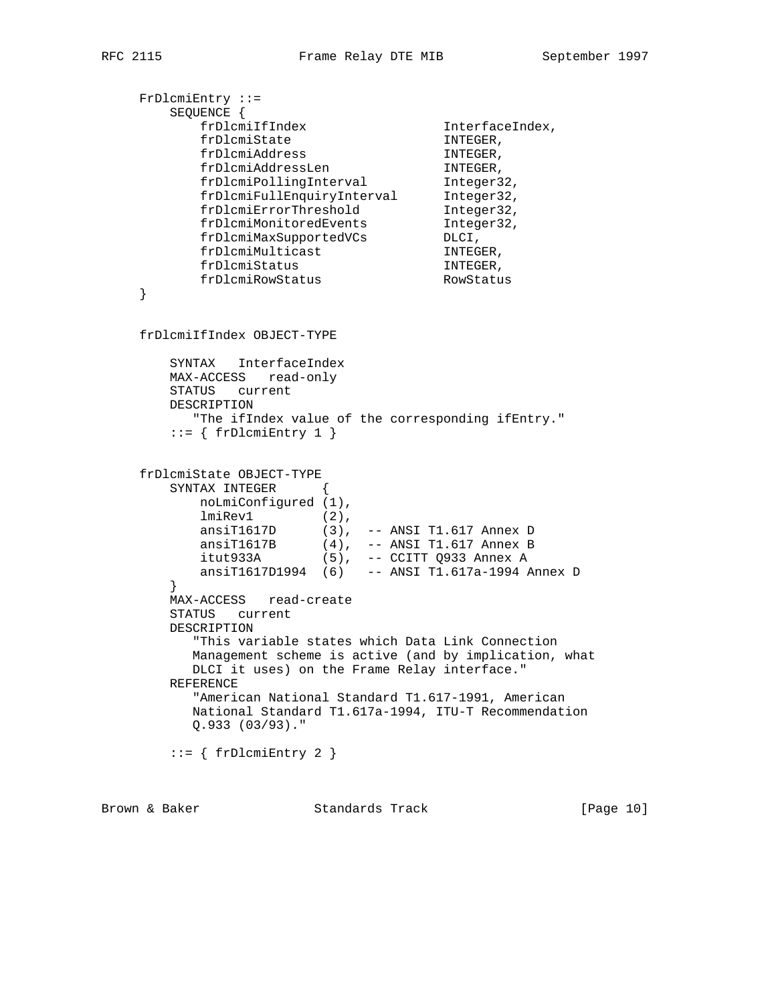```
 FrDlcmiEntry ::=
        SEQUENCE {
           \begin{tabular}{ll} $frDlcm1fIndex$ & \begin{tabular}{l} InterfaceIndex,\end{tabular} \\ $frDlcm1State$ & \begin{tabular}{l} InTerfaceIndex,\end{tabular} \\ $frDlcm1Address$ & \begin{tabular}{l} InTraceIndex,\end{tabular} \\ \end{tabular} \end{tabular}frDlcmiState INTEGER,
frDlcmiAddress INTEGER,
frDlcmiAddressLen INTEGER,
frDlcmiPollingInterval Integer32,
 frDlcmiFullEnquiryInterval Integer32,
 frDlcmiErrorThreshold Integer32,
 frDlcmiMonitoredEvents Integer32,
frDlcmiMaxSupportedVCs DLCI,
frDlcmiMulticast INTEGER,
frDlcmiStatus INTEGER,
 frDlcmiRowStatus RowStatus
     }
     frDlcmiIfIndex OBJECT-TYPE
        SYNTAX InterfaceIndex
        MAX-ACCESS read-only
        STATUS current
        DESCRIPTION
           "The ifIndex value of the corresponding ifEntry."
        ::= { frDlcmiEntry 1 }
     frDlcmiState OBJECT-TYPE
        SYNTAX INTEGER {
            noLmiConfigured (1),
lmiRev1 (2),
 ansiT1617D (3), -- ANSI T1.617 Annex D
 ansiT1617B (4), -- ANSI T1.617 Annex B
 itut933A (5), -- CCITT Q933 Annex A
            ansiT1617D1994 (6) -- ANSI T1.617a-1994 Annex D
         }
        MAX-ACCESS read-create
        STATUS current
        DESCRIPTION
           "This variable states which Data Link Connection
           Management scheme is active (and by implication, what
           DLCI it uses) on the Frame Relay interface."
        REFERENCE
           "American National Standard T1.617-1991, American
           National Standard T1.617a-1994, ITU-T Recommendation
           Q.933 (03/93)."
        ::= { frDlcmiEntry 2 }
```
Brown & Baker Standards Track [Page 10]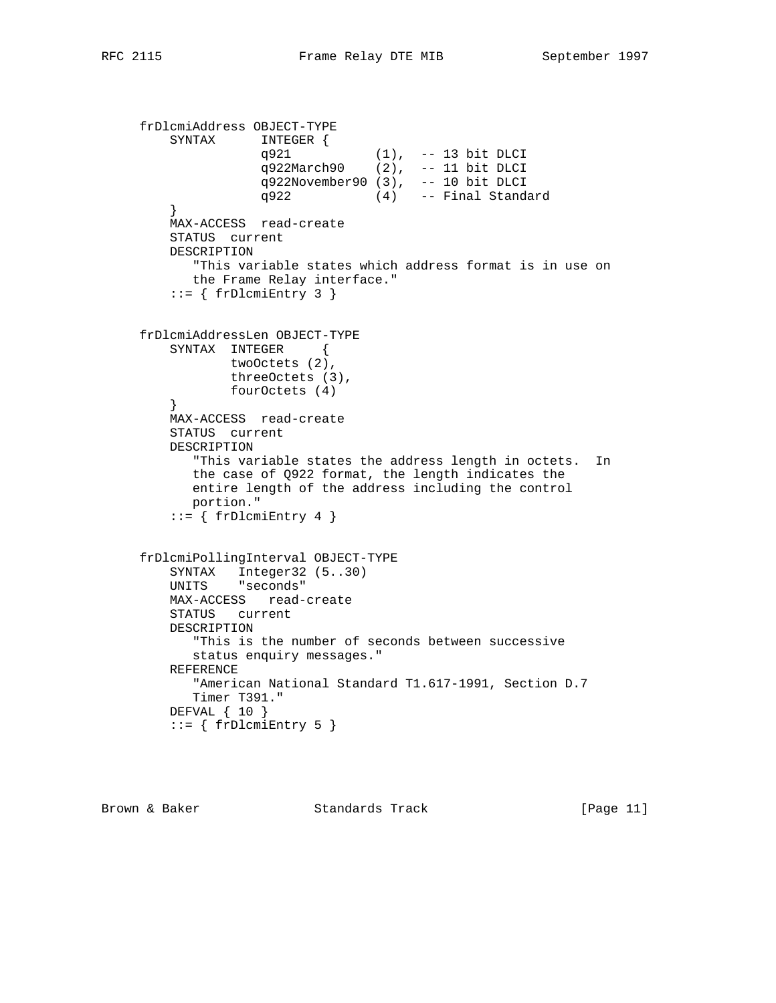```
 frDlcmiAddress OBJECT-TYPE
         SYNTAX INTEGER {
 q921 (1), -- 13 bit DLCI
 q922March90 (2), -- 11 bit DLCI
                    q922November90 (3), -- 10 bit DLCI
                    q922 (4) -- Final Standard
         }
         MAX-ACCESS read-create
         STATUS current
         DESCRIPTION
           "This variable states which address format is in use on
           the Frame Relay interface."
        ::= { frDlcmiEntry 3 }
     frDlcmiAddressLen OBJECT-TYPE
         SYNTAX INTEGER {
               twoOctets (2),
                threeOctets (3),
                fourOctets (4)
 }
         MAX-ACCESS read-create
         STATUS current
         DESCRIPTION
            "This variable states the address length in octets. In
            the case of Q922 format, the length indicates the
           entire length of the address including the control
           portion."
        ::= { frDlcmiEntry 4 }
     frDlcmiPollingInterval OBJECT-TYPE
         SYNTAX Integer32 (5..30)
         UNITS "seconds"
         MAX-ACCESS read-create
         STATUS current
         DESCRIPTION
           "This is the number of seconds between successive
           status enquiry messages."
         REFERENCE
           "American National Standard T1.617-1991, Section D.7
           Timer T391."
         DEFVAL { 10 }
        ::= { frDlcmiEntry 5 }
```
Brown & Baker Standards Track [Page 11]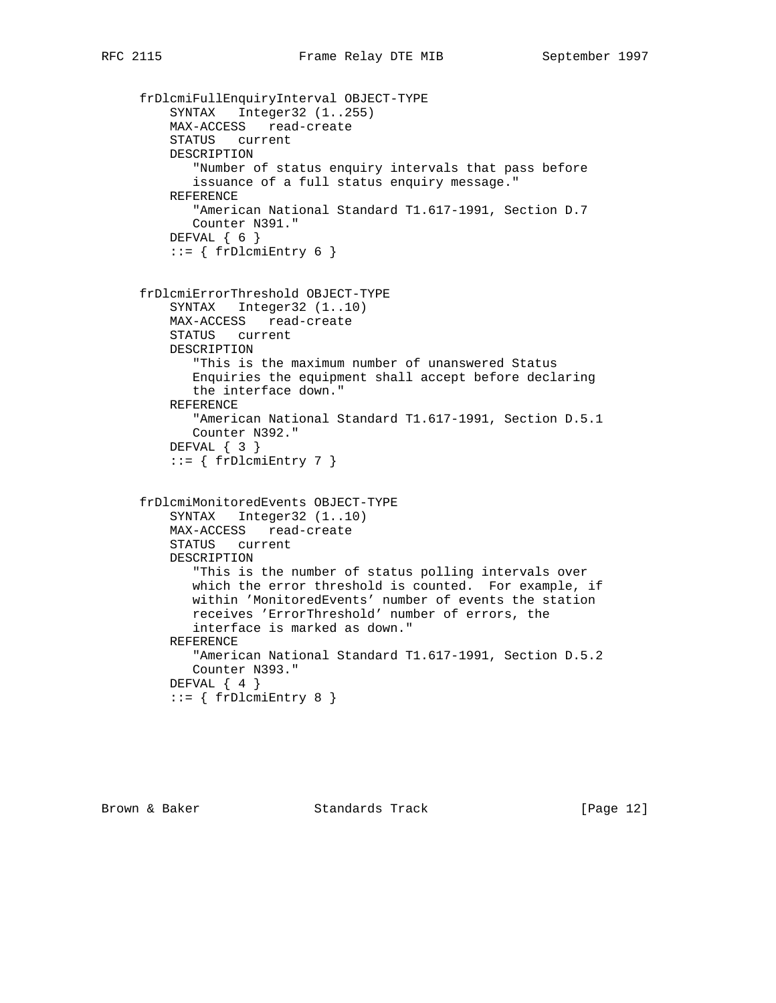```
 frDlcmiFullEnquiryInterval OBJECT-TYPE
   SYNTAX Integer32 (1..255)
    MAX-ACCESS read-create
    STATUS current
    DESCRIPTION
        "Number of status enquiry intervals that pass before
       issuance of a full status enquiry message."
    REFERENCE
       "American National Standard T1.617-1991, Section D.7
       Counter N391."
    DEFVAL { 6 }
   ::= { frDlcmiEntry 6 }
 frDlcmiErrorThreshold OBJECT-TYPE
    SYNTAX Integer32 (1..10)
    MAX-ACCESS read-create
    STATUS current
    DESCRIPTION
       "This is the maximum number of unanswered Status
       Enquiries the equipment shall accept before declaring
       the interface down."
    REFERENCE
       "American National Standard T1.617-1991, Section D.5.1
       Counter N392."
    DEFVAL { 3 }
    ::= { frDlcmiEntry 7 }
 frDlcmiMonitoredEvents OBJECT-TYPE
    SYNTAX Integer32 (1..10)
    MAX-ACCESS read-create
    STATUS current
    DESCRIPTION
        "This is the number of status polling intervals over
       which the error threshold is counted. For example, if
       within 'MonitoredEvents' number of events the station
       receives 'ErrorThreshold' number of errors, the
       interface is marked as down."
    REFERENCE
       "American National Standard T1.617-1991, Section D.5.2
       Counter N393."
    DEFVAL { 4 }
    ::= { frDlcmiEntry 8 }
```
Brown & Baker Standards Track [Page 12]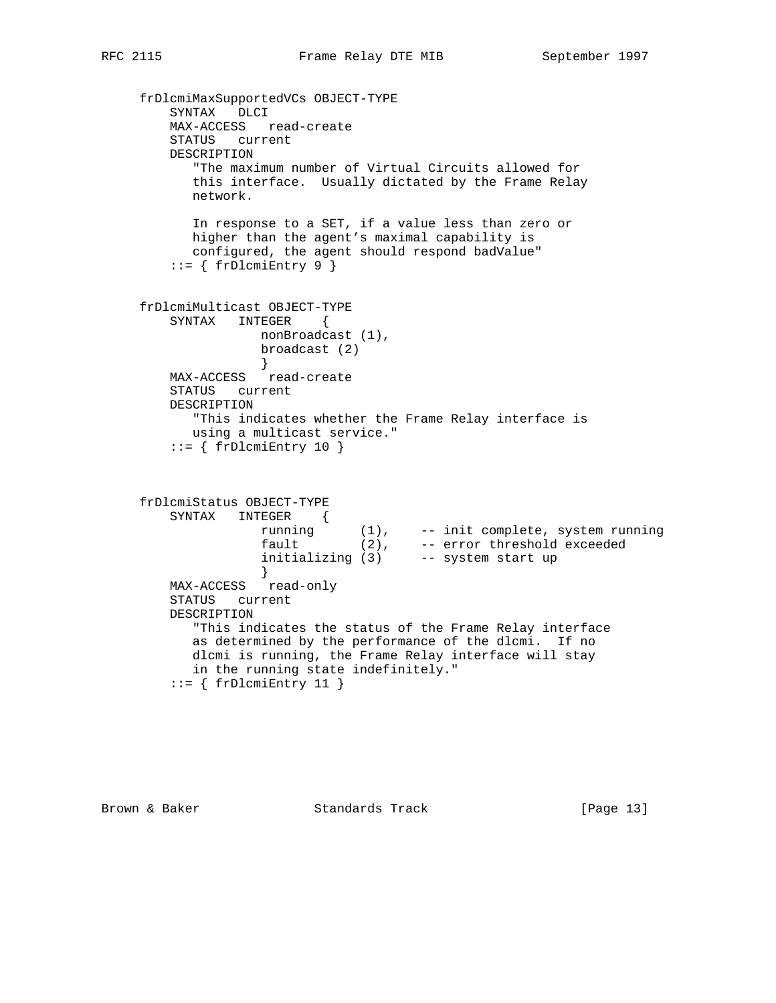```
 frDlcmiMaxSupportedVCs OBJECT-TYPE
        SYNTAX DLCI
        MAX-ACCESS read-create
        STATUS current
        DESCRIPTION
           "The maximum number of Virtual Circuits allowed for
           this interface. Usually dictated by the Frame Relay
           network.
           In response to a SET, if a value less than zero or
           higher than the agent's maximal capability is
           configured, the agent should respond badValue"
        ::= \{ frblcmiEntry 9 \} frDlcmiMulticast OBJECT-TYPE
        SYNTAX INTEGER {
                  nonBroadcast (1),
                  broadcast (2)
                   }
        MAX-ACCESS read-create
        STATUS current
        DESCRIPTION
           "This indicates whether the Frame Relay interface is
           using a multicast service."
        ::= { frDlcmiEntry 10 }
     frDlcmiStatus OBJECT-TYPE
        SYNTAX INTEGER {
 running (1), -- init complete, system running
fault (2), -- error threshold exceeded
 initializing (3) -- system start up
 }
 MAX-ACCESS read-only
        STATUS current
        DESCRIPTION
           "This indicates the status of the Frame Relay interface
           as determined by the performance of the dlcmi. If no
           dlcmi is running, the Frame Relay interface will stay
           in the running state indefinitely."
        ::= { frDlcmiEntry 11 }
```
Brown & Baker Standards Track [Page 13]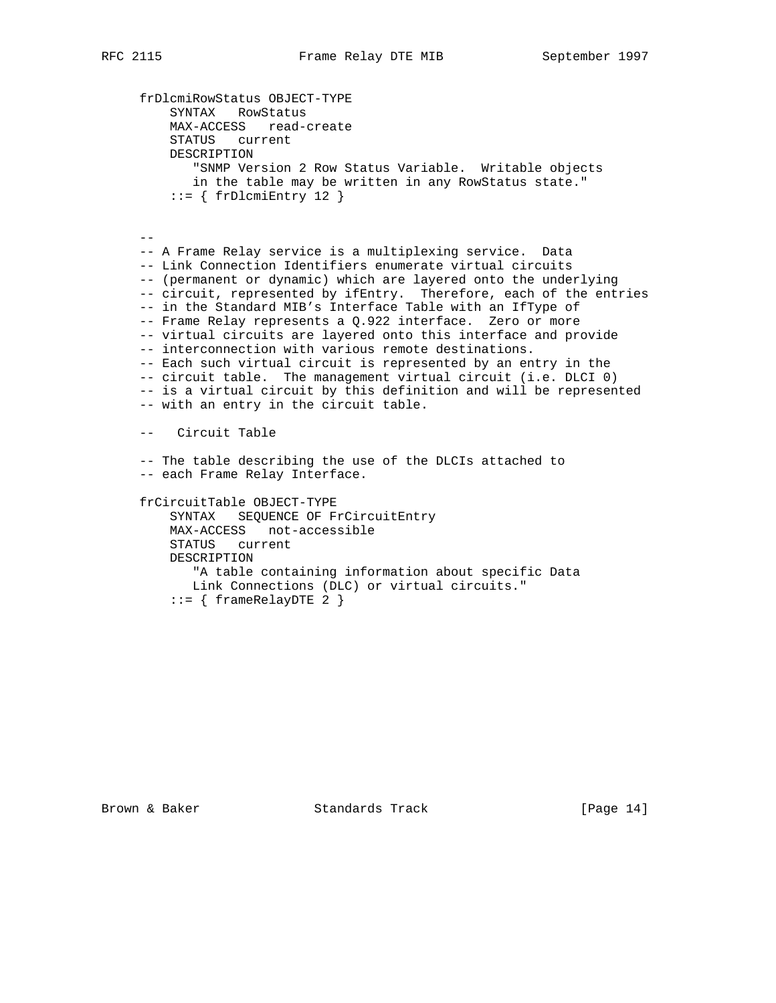```
 frDlcmiRowStatus OBJECT-TYPE
         SYNTAX RowStatus
         MAX-ACCESS read-create
         STATUS current
         DESCRIPTION
            "SNMP Version 2 Row Status Variable. Writable objects
            in the table may be written in any RowStatus state."
         ::= { frDlcmiEntry 12 }
 --
     -- A Frame Relay service is a multiplexing service. Data
     -- Link Connection Identifiers enumerate virtual circuits
     -- (permanent or dynamic) which are layered onto the underlying
    -- circuit, represented by ifEntry. Therefore, each of the entries
     -- in the Standard MIB's Interface Table with an IfType of
     -- Frame Relay represents a Q.922 interface. Zero or more
     -- virtual circuits are layered onto this interface and provide
     -- interconnection with various remote destinations.
     -- Each such virtual circuit is represented by an entry in the
     -- circuit table. The management virtual circuit (i.e. DLCI 0)
     -- is a virtual circuit by this definition and will be represented
     -- with an entry in the circuit table.
     -- Circuit Table
     -- The table describing the use of the DLCIs attached to
     -- each Frame Relay Interface.
     frCircuitTable OBJECT-TYPE
        SYNTAX SEQUENCE OF FrCircuitEntry
         MAX-ACCESS not-accessible
         STATUS current
         DESCRIPTION
            "A table containing information about specific Data
```
Brown & Baker Standards Track [Page 14]

Link Connections (DLC) or virtual circuits."

 $::=$  { frameRelayDTE 2 }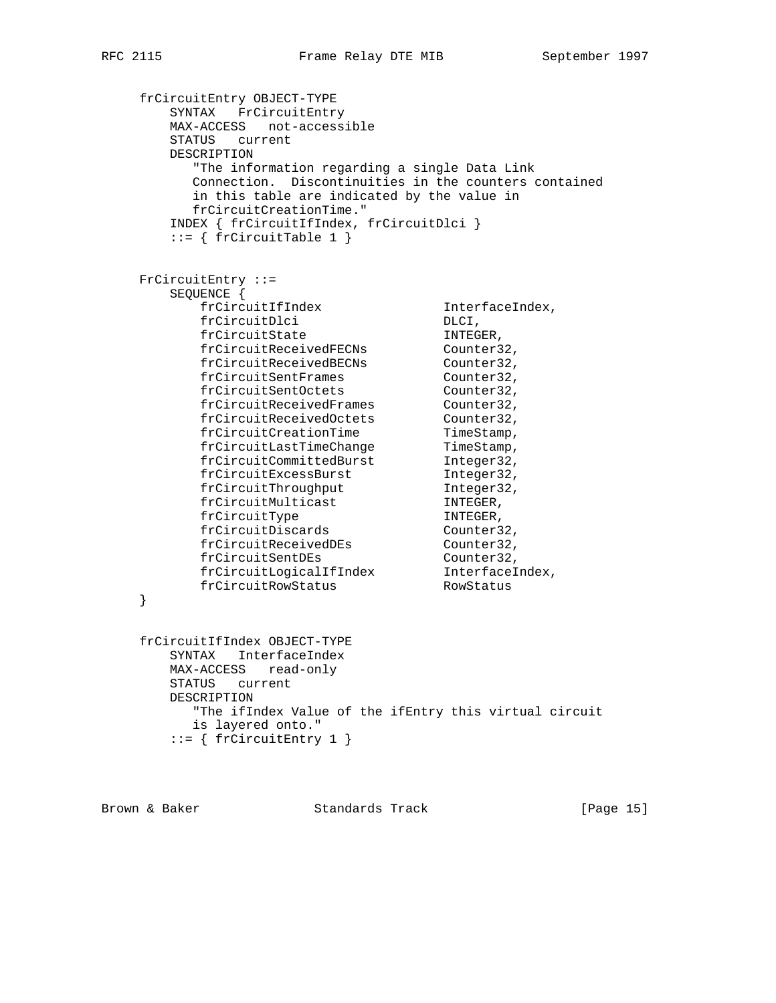```
 frCircuitEntry OBJECT-TYPE
       SYNTAX FrCircuitEntry
       MAX-ACCESS not-accessible
       STATUS current
       DESCRIPTION
         "The information regarding a single Data Link
         Connection. Discontinuities in the counters contained
         in this table are indicated by the value in
         frCircuitCreationTime."
       INDEX { frCircuitIfIndex, frCircuitDlci }
      ::= \{ frCircuitTable 1 \} FrCircuitEntry ::=
       SEQUENCE {
frCircuitIfIndex InterfaceIndex,
frCircuitDlci DLCI,
frCircuitState INTEGER,
frCircuitReceivedFECNs Counter32,
frCircuitReceivedBECNs Counter32,
frCircuitSentFrames Counter32,
frCircuitSentOctets Counter32,
frCircuitReceivedFrames Counter32,
frCircuitReceivedOctets Counter32,
frCircuitCreationTime TimeStamp,
frCircuitLastTimeChange TimeStamp,
frCircuitCommittedBurst Integer32,
frCircuitExcessBurst 1nteger32,
frCircuitThroughput 1nteger32,
frCircuitMulticast INTEGER,
frCircuitType INTEGER,
frCircuitDiscards Counter32,
frCircuitReceivedDEs Counter32,
frCircuitSentDEs Counter32,
 frCircuitLogicalIfIndex InterfaceIndex,
frCircuitRowStatus RowStatus
    }
    frCircuitIfIndex OBJECT-TYPE
       SYNTAX InterfaceIndex
       MAX-ACCESS read-only
       STATUS current
       DESCRIPTION
         "The ifIndex Value of the ifEntry this virtual circuit
        is layered onto."
      ::= { frCircuitEntry 1 }
```
Brown & Baker Standards Track [Page 15]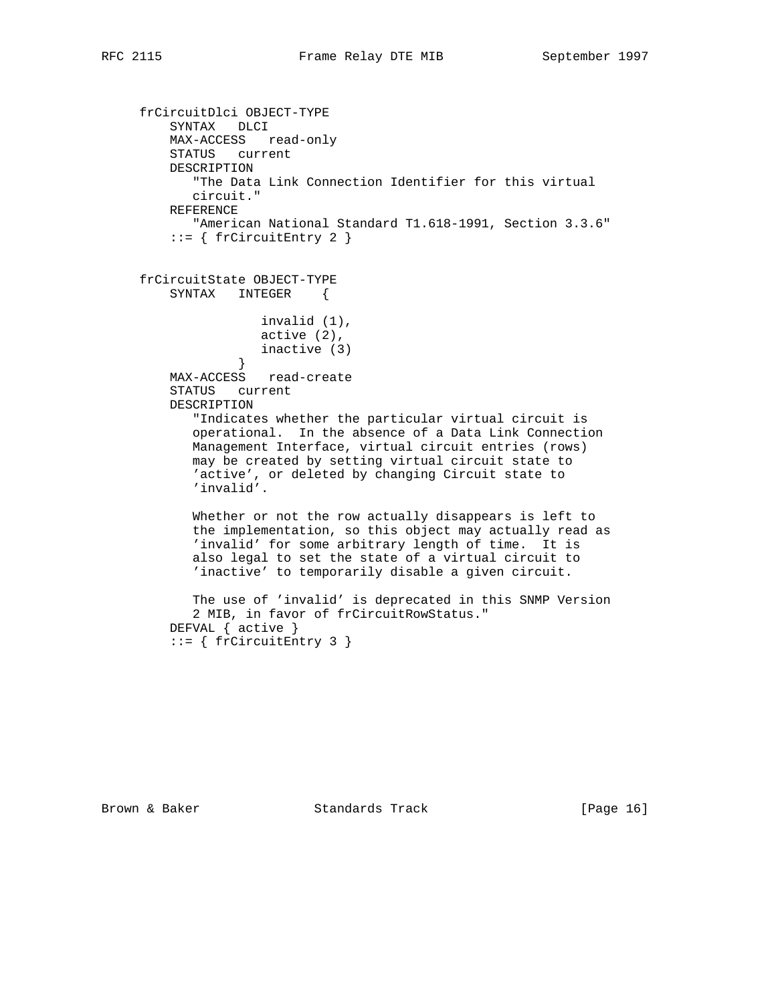```
 frCircuitDlci OBJECT-TYPE
         SYNTAX DLCI
         MAX-ACCESS read-only
         STATUS current
         DESCRIPTION
            "The Data Link Connection Identifier for this virtual
            circuit."
         REFERENCE
            "American National Standard T1.618-1991, Section 3.3.6"
          ::= { frCircuitEntry 2 }
     frCircuitState OBJECT-TYPE
         SYNTAX INTEGER {
                     invalid (1),
                     active (2),
                 inactive (3)<br>}
 }
         MAX-ACCESS read-create
         STATUS current
         DESCRIPTION
            "Indicates whether the particular virtual circuit is
            operational. In the absence of a Data Link Connection
            Management Interface, virtual circuit entries (rows)
            may be created by setting virtual circuit state to
            'active', or deleted by changing Circuit state to
            'invalid'.
            Whether or not the row actually disappears is left to
            the implementation, so this object may actually read as
            'invalid' for some arbitrary length of time. It is
            also legal to set the state of a virtual circuit to
            'inactive' to temporarily disable a given circuit.
            The use of 'invalid' is deprecated in this SNMP Version
            2 MIB, in favor of frCircuitRowStatus."
         DEFVAL { active }
          ::= { frCircuitEntry 3 }
```
Brown & Baker Standards Track [Page 16]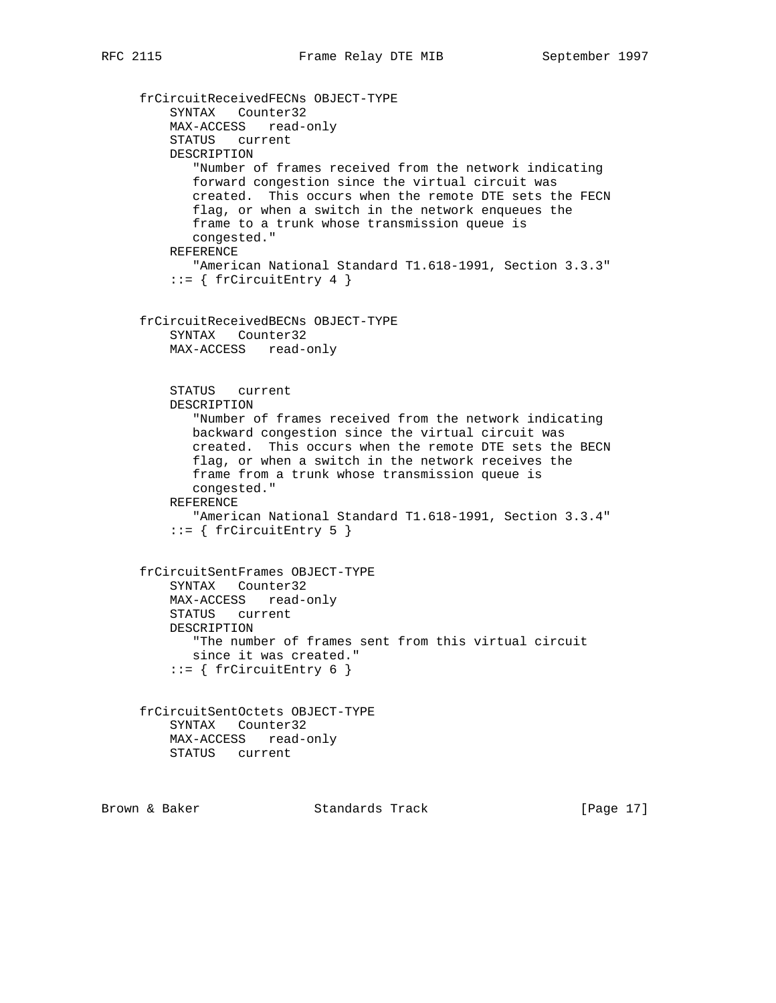```
 frCircuitReceivedFECNs OBJECT-TYPE
    SYNTAX Counter32
    MAX-ACCESS read-only
    STATUS current
    DESCRIPTION
        "Number of frames received from the network indicating
       forward congestion since the virtual circuit was
       created. This occurs when the remote DTE sets the FECN
       flag, or when a switch in the network enqueues the
       frame to a trunk whose transmission queue is
       congested."
    REFERENCE
       "American National Standard T1.618-1991, Section 3.3.3"
    ::= { frCircuitEntry 4 }
 frCircuitReceivedBECNs OBJECT-TYPE
    SYNTAX Counter32
    MAX-ACCESS read-only
    STATUS current
    DESCRIPTION
        "Number of frames received from the network indicating
       backward congestion since the virtual circuit was
       created. This occurs when the remote DTE sets the BECN
       flag, or when a switch in the network receives the
       frame from a trunk whose transmission queue is
       congested."
    REFERENCE
       "American National Standard T1.618-1991, Section 3.3.4"
    ::= { frCircuitEntry 5 }
 frCircuitSentFrames OBJECT-TYPE
    SYNTAX Counter32
    MAX-ACCESS read-only
    STATUS current
    DESCRIPTION
       "The number of frames sent from this virtual circuit
       since it was created."
    ::= { frCircuitEntry 6 }
 frCircuitSentOctets OBJECT-TYPE
    SYNTAX Counter32
    MAX-ACCESS read-only
    STATUS current
```
Brown & Baker Standards Track [Page 17]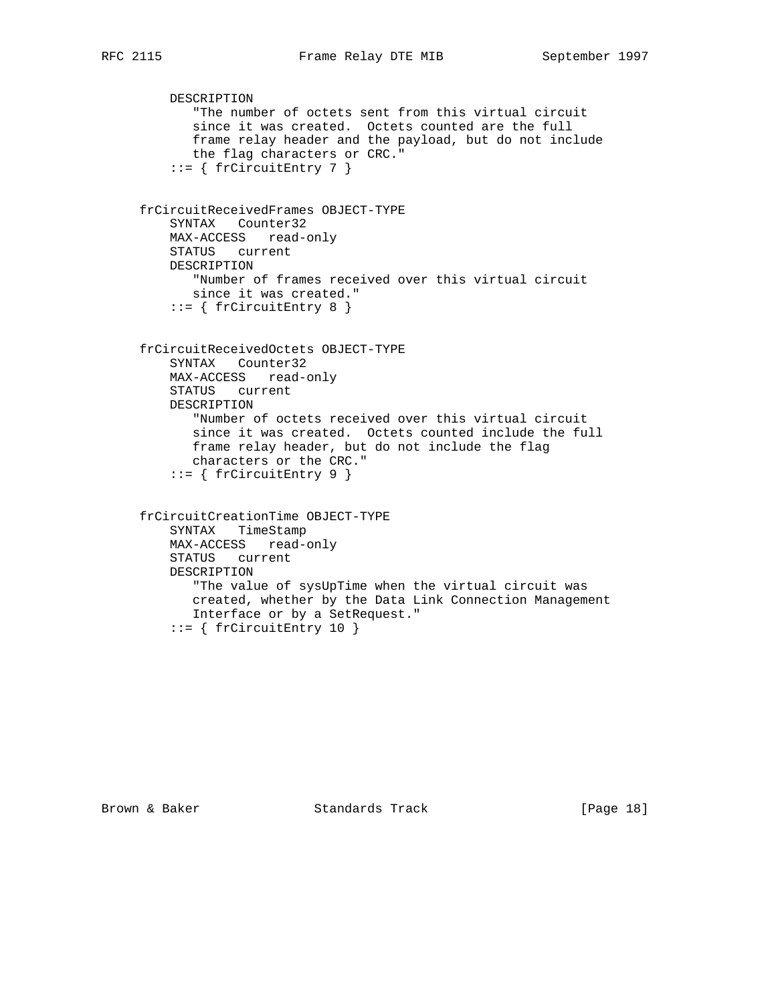```
 DESCRIPTION
       "The number of octets sent from this virtual circuit
        since it was created. Octets counted are the full
       frame relay header and the payload, but do not include
       the flag characters or CRC."
    ::= { frCircuitEntry 7 }
 frCircuitReceivedFrames OBJECT-TYPE
    SYNTAX Counter32
    MAX-ACCESS read-only
    STATUS current
    DESCRIPTION
       "Number of frames received over this virtual circuit
      since it was created."
   ::= { frCircuitEntry 8 }
 frCircuitReceivedOctets OBJECT-TYPE
    SYNTAX Counter32
    MAX-ACCESS read-only
    STATUS current
    DESCRIPTION
        "Number of octets received over this virtual circuit
       since it was created. Octets counted include the full
       frame relay header, but do not include the flag
       characters or the CRC."
     ::= { frCircuitEntry 9 }
 frCircuitCreationTime OBJECT-TYPE
    SYNTAX TimeStamp
    MAX-ACCESS read-only
    STATUS current
    DESCRIPTION
        "The value of sysUpTime when the virtual circuit was
       created, whether by the Data Link Connection Management
       Interface or by a SetRequest."
     ::= { frCircuitEntry 10 }
```
Brown & Baker Standards Track [Page 18]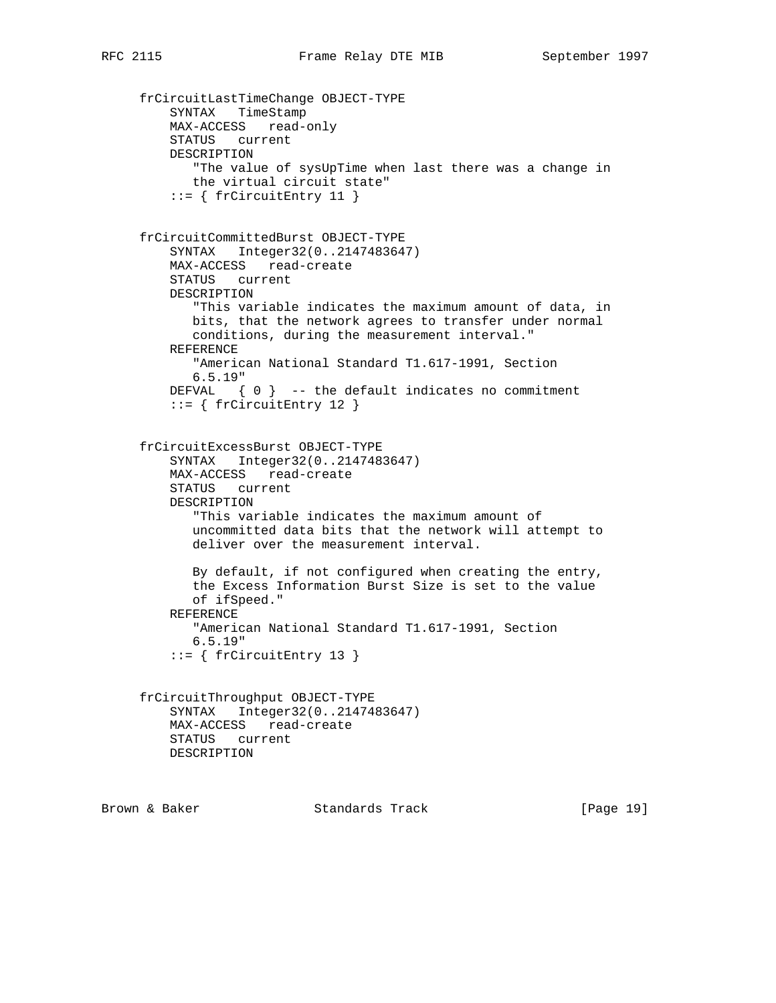```
 frCircuitLastTimeChange OBJECT-TYPE
    SYNTAX TimeStamp
    MAX-ACCESS read-only
    STATUS current
    DESCRIPTION
        "The value of sysUpTime when last there was a change in
       the virtual circuit state"
    ::= { frCircuitEntry 11 }
 frCircuitCommittedBurst OBJECT-TYPE
    SYNTAX Integer32(0..2147483647)
    MAX-ACCESS read-create
    STATUS current
    DESCRIPTION
        "This variable indicates the maximum amount of data, in
       bits, that the network agrees to transfer under normal
       conditions, during the measurement interval."
    REFERENCE
       "American National Standard T1.617-1991, Section
        6.5.19"
   DEFVAL \{ 0 \} -- the default indicates no commitment
    ::= { frCircuitEntry 12 }
 frCircuitExcessBurst OBJECT-TYPE
    SYNTAX Integer32(0..2147483647)
    MAX-ACCESS read-create
    STATUS current
    DESCRIPTION
        "This variable indicates the maximum amount of
       uncommitted data bits that the network will attempt to
       deliver over the measurement interval.
       By default, if not configured when creating the entry,
       the Excess Information Burst Size is set to the value
       of ifSpeed."
    REFERENCE
       "American National Standard T1.617-1991, Section
       6.5.19"
    ::= { frCircuitEntry 13 }
 frCircuitThroughput OBJECT-TYPE
    SYNTAX Integer32(0..2147483647)
    MAX-ACCESS read-create
    STATUS current
    DESCRIPTION
```
Brown & Baker Standards Track [Page 19]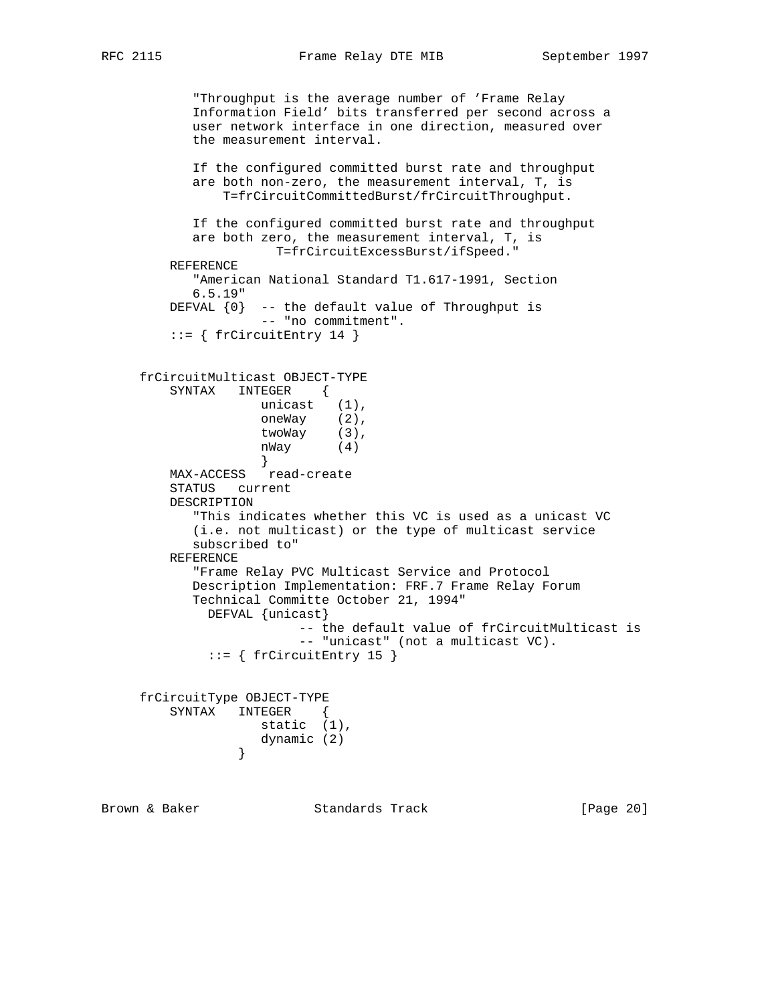RFC 2115 **Frame Relay DTE MIB** September 1997

```
 "Throughput is the average number of 'Frame Relay
           Information Field' bits transferred per second across a
           user network interface in one direction, measured over
           the measurement interval.
           If the configured committed burst rate and throughput
           are both non-zero, the measurement interval, T, is
               T=frCircuitCommittedBurst/frCircuitThroughput.
           If the configured committed burst rate and throughput
           are both zero, the measurement interval, T, is
                   T=frCircuitExcessBurst/ifSpeed."
         REFERENCE
           "American National Standard T1.617-1991, Section
           6.5.19"
        DEFVAL \{0\} -- the default value of Throughput is
                   -- "no commitment".
        ::= { frCircuitEntry 14 }
     frCircuitMulticast OBJECT-TYPE
         SYNTAX INTEGER {
 unicast (1),
oneWay (2),
 twoWay (3),
 nWay (4)
 }
 MAX-ACCESS read-create
         STATUS current
         DESCRIPTION
           "This indicates whether this VC is used as a unicast VC
           (i.e. not multicast) or the type of multicast service
           subscribed to"
         REFERENCE
           "Frame Relay PVC Multicast Service and Protocol
           Description Implementation: FRF.7 Frame Relay Forum
           Technical Committe October 21, 1994"
             DEFVAL {unicast}
                        -- the default value of frCircuitMulticast is
                        -- "unicast" (not a multicast VC).
            ::= { frCircuitEntry 15 }
     frCircuitType OBJECT-TYPE
         SYNTAX INTEGER {
                   static (1),
                dynamic (2)<br>}
 }
Brown & Baker Standards Track [Page 20]
```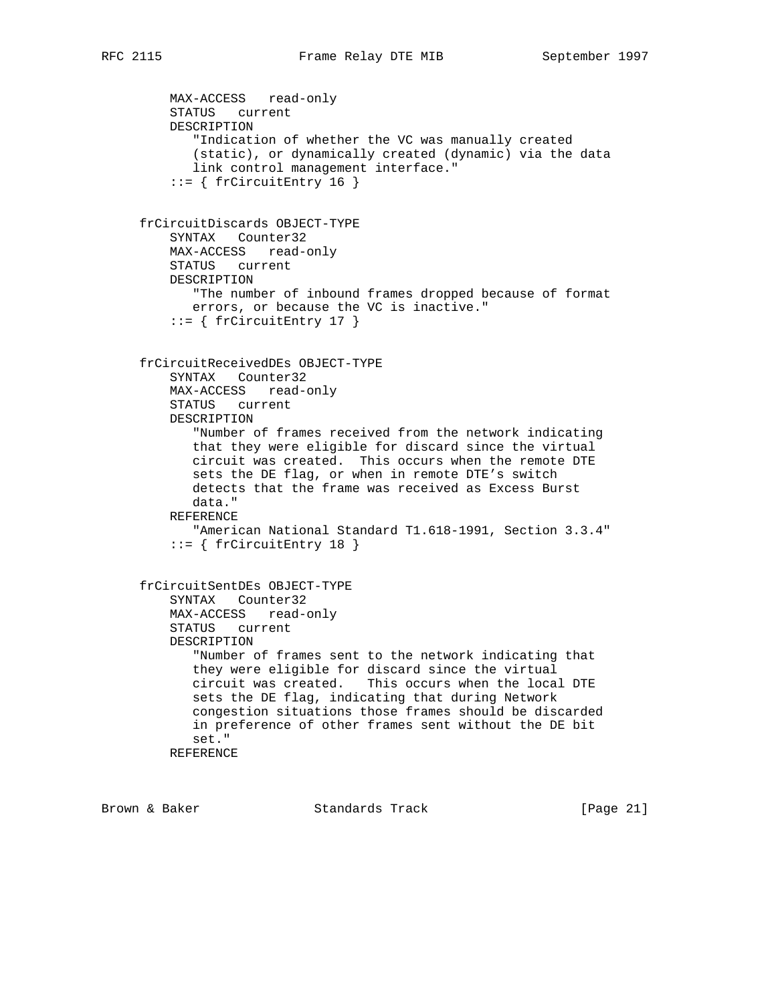```
 MAX-ACCESS read-only
    STATUS current
    DESCRIPTION
        "Indication of whether the VC was manually created
       (static), or dynamically created (dynamic) via the data
        link control management interface."
     ::= { frCircuitEntry 16 }
 frCircuitDiscards OBJECT-TYPE
    SYNTAX Counter32
    MAX-ACCESS read-only
    STATUS current
    DESCRIPTION
       "The number of inbound frames dropped because of format
       errors, or because the VC is inactive."
    ::= { frCircuitEntry 17 }
 frCircuitReceivedDEs OBJECT-TYPE
    SYNTAX Counter32
    MAX-ACCESS read-only
    STATUS current
    DESCRIPTION
        "Number of frames received from the network indicating
        that they were eligible for discard since the virtual
       circuit was created. This occurs when the remote DTE
        sets the DE flag, or when in remote DTE's switch
        detects that the frame was received as Excess Burst
       data."
    REFERENCE
       "American National Standard T1.618-1991, Section 3.3.4"
     ::= { frCircuitEntry 18 }
 frCircuitSentDEs OBJECT-TYPE
    SYNTAX Counter32
    MAX-ACCESS read-only
    STATUS current
    DESCRIPTION
        "Number of frames sent to the network indicating that
        they were eligible for discard since the virtual
       circuit was created. This occurs when the local DTE
       sets the DE flag, indicating that during Network
       congestion situations those frames should be discarded
       in preference of other frames sent without the DE bit
       set."
    REFERENCE
```
Brown & Baker Standards Track [Page 21]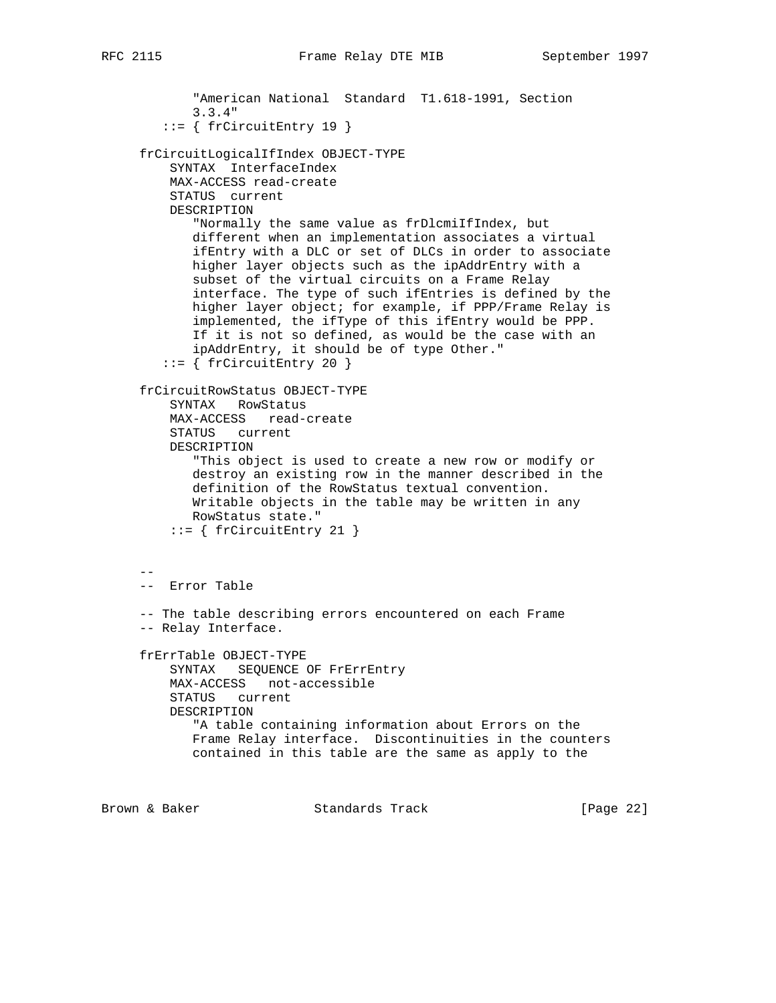```
 "American National Standard T1.618-1991, Section
             3.3.4"
         ::= { frCircuitEntry 19 }
      frCircuitLogicalIfIndex OBJECT-TYPE
         SYNTAX InterfaceIndex
         MAX-ACCESS read-create
         STATUS current
         DESCRIPTION
             "Normally the same value as frDlcmiIfIndex, but
            different when an implementation associates a virtual
            ifEntry with a DLC or set of DLCs in order to associate
            higher layer objects such as the ipAddrEntry with a
            subset of the virtual circuits on a Frame Relay
             interface. The type of such ifEntries is defined by the
            higher layer object; for example, if PPP/Frame Relay is
            implemented, the ifType of this ifEntry would be PPP.
            If it is not so defined, as would be the case with an
            ipAddrEntry, it should be of type Other."
        ::= { frCircuitEntry 20 }
      frCircuitRowStatus OBJECT-TYPE
         SYNTAX RowStatus
         MAX-ACCESS read-create
         STATUS current
         DESCRIPTION
             "This object is used to create a new row or modify or
            destroy an existing row in the manner described in the
            definition of the RowStatus textual convention.
            Writable objects in the table may be written in any
            RowStatus state."
         ::= { frCircuitEntry 21 }
 --
     -- Error Table
      -- The table describing errors encountered on each Frame
     -- Relay Interface.
     frErrTable OBJECT-TYPE
         SYNTAX SEQUENCE OF FrErrEntry
         MAX-ACCESS not-accessible
         STATUS current
         DESCRIPTION
            "A table containing information about Errors on the
            Frame Relay interface. Discontinuities in the counters
            contained in this table are the same as apply to the
```
Brown & Baker **Standards Track** [Page 22]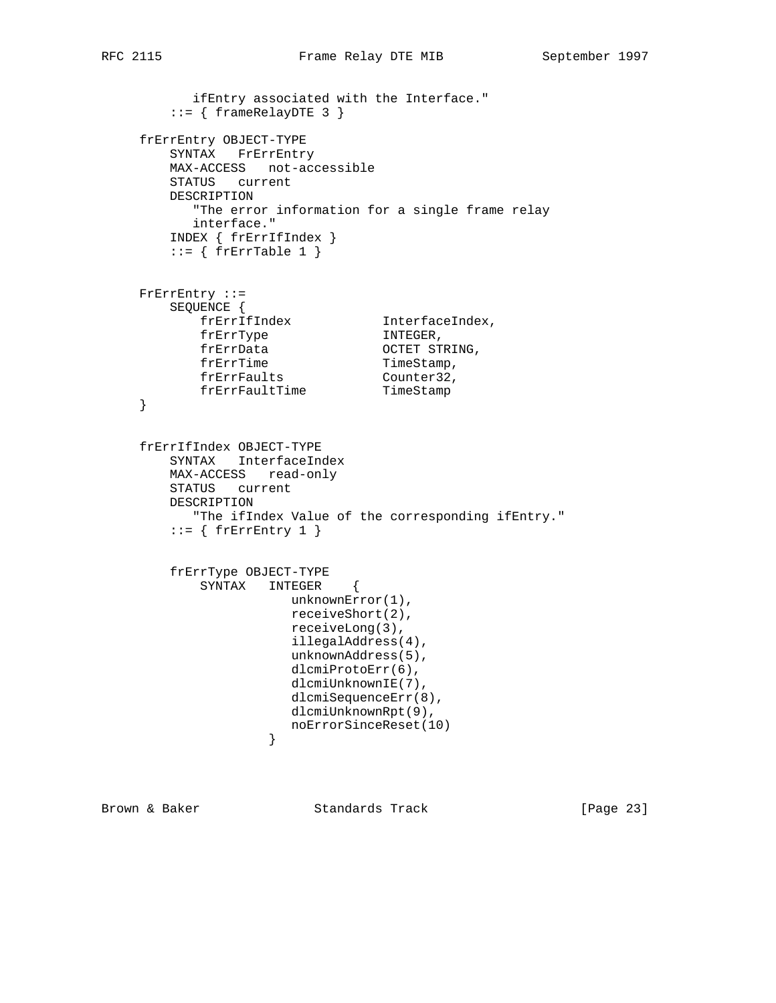```
 ifEntry associated with the Interface."
       ::= { frameRelayDTE 3 }
     frErrEntry OBJECT-TYPE
        SYNTAX FrErrEntry
        MAX-ACCESS not-accessible
        STATUS current
        DESCRIPTION
           "The error information for a single frame relay
          interface."
        INDEX { frErrIfIndex }
       ::= { frErrTable 1 }
     FrErrEntry ::=
        SEQUENCE {
 frErrIfIndex InterfaceIndex,
frErrType INTEGER,
 frErrData OCTET STRING,
frErrTime TimeStamp,
 frErrFaults Counter32,
 frErrFaultTime TimeStamp
     }
     frErrIfIndex OBJECT-TYPE
        SYNTAX InterfaceIndex
        MAX-ACCESS read-only
        STATUS current
        DESCRIPTION
           "The ifIndex Value of the corresponding ifEntry."
       ::= { frErrEntry 1 }
        frErrType OBJECT-TYPE
           SYNTAX INTEGER {
                     unknownError(1),
                      receiveShort(2),
                      receiveLong(3),
                      illegalAddress(4),
                      unknownAddress(5),
                      dlcmiProtoErr(6),
                      dlcmiUnknownIE(7),
                      dlcmiSequenceErr(8),
                      dlcmiUnknownRpt(9),
                  noErrorSinceReset(10)<br>}
 }
```
Brown & Baker Standards Track [Page 23]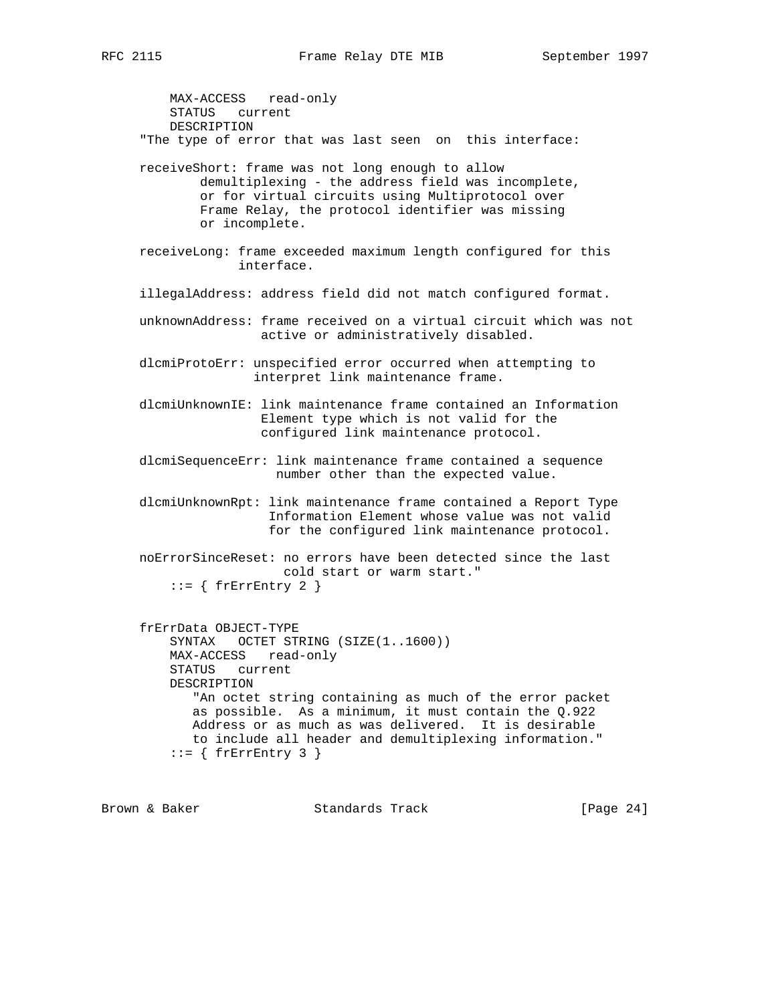MAX-ACCESS read-only STATUS current DESCRIPTION "The type of error that was last seen on this interface: receiveShort: frame was not long enough to allow demultiplexing - the address field was incomplete, or for virtual circuits using Multiprotocol over Frame Relay, the protocol identifier was missing or incomplete. receiveLong: frame exceeded maximum length configured for this interface. illegalAddress: address field did not match configured format. unknownAddress: frame received on a virtual circuit which was not active or administratively disabled. dlcmiProtoErr: unspecified error occurred when attempting to interpret link maintenance frame. dlcmiUnknownIE: link maintenance frame contained an Information Element type which is not valid for the configured link maintenance protocol. dlcmiSequenceErr: link maintenance frame contained a sequence number other than the expected value. dlcmiUnknownRpt: link maintenance frame contained a Report Type Information Element whose value was not valid for the configured link maintenance protocol. noErrorSinceReset: no errors have been detected since the last cold start or warm start."  $::=$  { frErrEntry 2 } frErrData OBJECT-TYPE SYNTAX OCTET STRING (SIZE(1..1600)) MAX-ACCESS read-only STATUS current DESCRIPTION "An octet string containing as much of the error packet as possible. As a minimum, it must contain the Q.922 Address or as much as was delivered. It is desirable to include all header and demultiplexing information."  $::=$  { frErrEntry 3 }

Brown & Baker Standards Track [Page 24]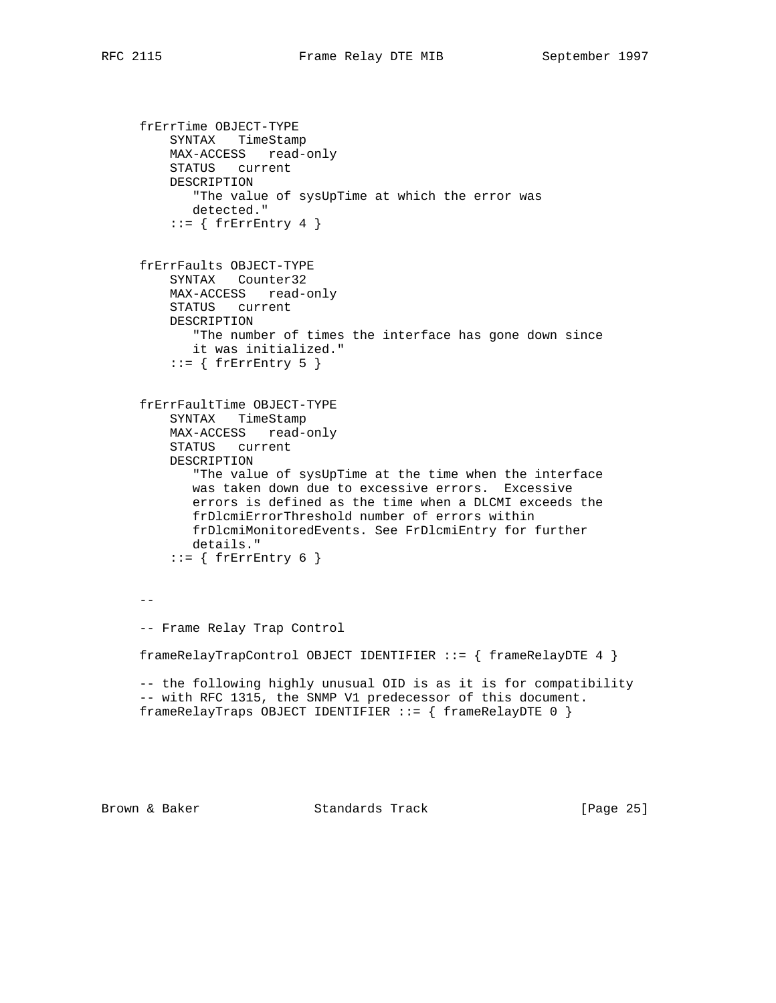```
 frErrTime OBJECT-TYPE
     SYNTAX TimeStamp
    MAX-ACCESS read-only
    STATUS current
    DESCRIPTION
       "The value of sysUpTime at which the error was
       detected."
    ::= { frErrEntry 4 }
 frErrFaults OBJECT-TYPE
    SYNTAX Counter32
     MAX-ACCESS read-only
     STATUS current
    DESCRIPTION
       "The number of times the interface has gone down since
       it was initialized."
    ::= { frErrEntry 5 }
 frErrFaultTime OBJECT-TYPE
     SYNTAX TimeStamp
    MAX-ACCESS read-only
     STATUS current
     DESCRIPTION
        "The value of sysUpTime at the time when the interface
        was taken down due to excessive errors. Excessive
        errors is defined as the time when a DLCMI exceeds the
       frDlcmiErrorThreshold number of errors within
       frDlcmiMonitoredEvents. See FrDlcmiEntry for further
       details."
    ::= { frErrEntry 6 }
- - -- Frame Relay Trap Control
 frameRelayTrapControl OBJECT IDENTIFIER ::= { frameRelayDTE 4 }
 -- the following highly unusual OID is as it is for compatibility
 -- with RFC 1315, the SNMP V1 predecessor of this document.
 frameRelayTraps OBJECT IDENTIFIER ::= { frameRelayDTE 0 }
```
Brown & Baker Standards Track [Page 25]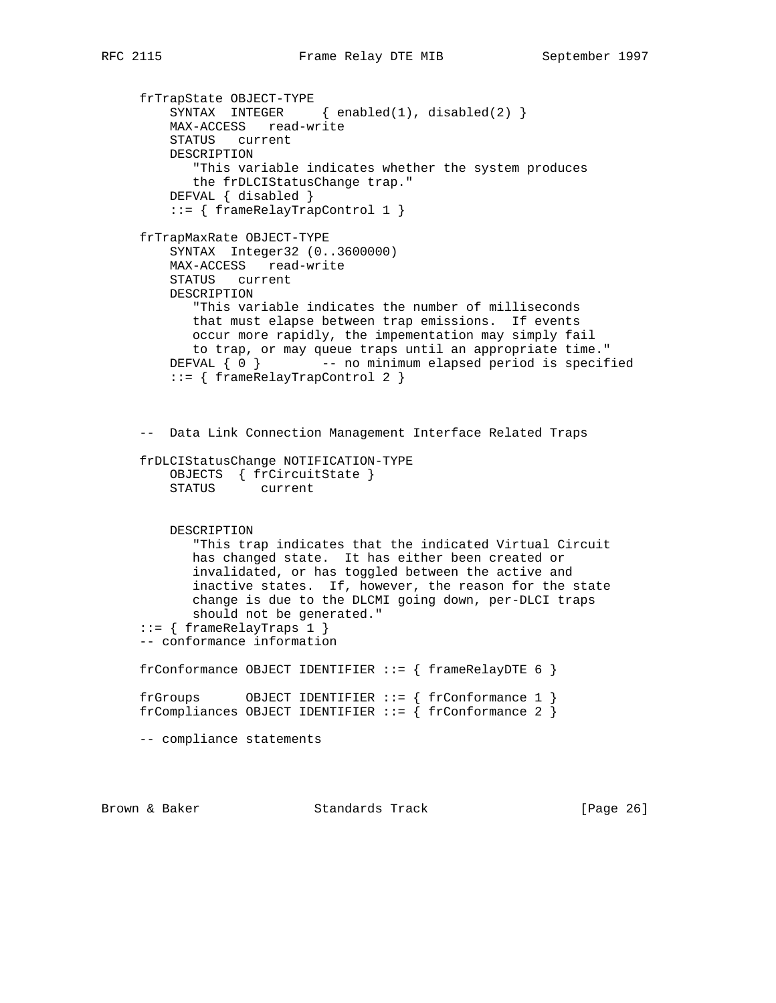frTrapState OBJECT-TYPE SYNTAX INTEGER { enabled(1), disabled(2) } MAX-ACCESS read-write STATUS current DESCRIPTION "This variable indicates whether the system produces the frDLCIStatusChange trap." DEFVAL { disabled } ::= { frameRelayTrapControl 1 } frTrapMaxRate OBJECT-TYPE SYNTAX Integer32 (0..3600000) MAX-ACCESS read-write STATUS current DESCRIPTION "This variable indicates the number of milliseconds that must elapse between trap emissions. If events occur more rapidly, the impementation may simply fail to trap, or may queue traps until an appropriate time." DEFVAL  $\{ 0 \}$  -- no minimum elapsed period is specified ::= { frameRelayTrapControl 2 } -- Data Link Connection Management Interface Related Traps frDLCIStatusChange NOTIFICATION-TYPE OBJECTS { frCircuitState }<br>STATUS current current DESCRIPTION "This trap indicates that the indicated Virtual Circuit has changed state. It has either been created or invalidated, or has toggled between the active and inactive states. If, however, the reason for the state change is due to the DLCMI going down, per-DLCI traps should not be generated." ::= { frameRelayTraps 1 } -- conformance information frConformance OBJECT IDENTIFIER  $::=$  { frameRelayDTE 6 } frGroups OBJECT IDENTIFIER ::= { frConformance 1 } frCompliances OBJECT IDENTIFIER ::= { frConformance 2 } -- compliance statements

Brown & Baker Standards Track [Page 26]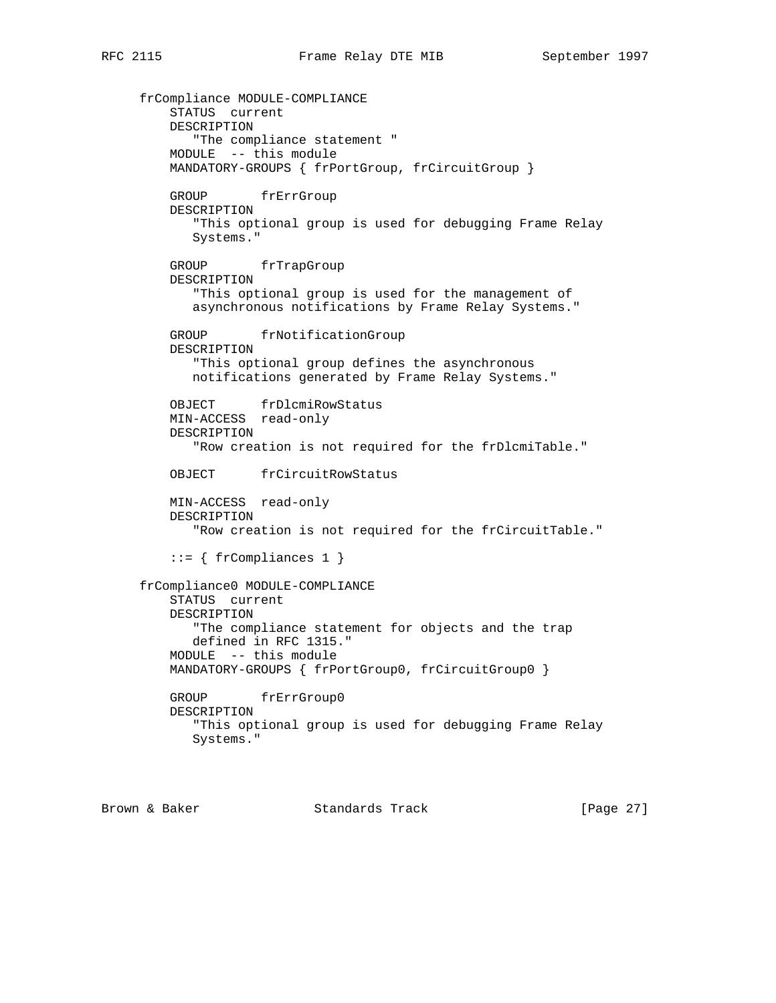frCompliance MODULE-COMPLIANCE STATUS current DESCRIPTION "The compliance statement " MODULE -- this module MANDATORY-GROUPS { frPortGroup, frCircuitGroup } GROUP frErrGroup DESCRIPTION "This optional group is used for debugging Frame Relay Systems." GROUP frTrapGroup DESCRIPTION "This optional group is used for the management of asynchronous notifications by Frame Relay Systems." GROUP frNotificationGroup DESCRIPTION "This optional group defines the asynchronous notifications generated by Frame Relay Systems." OBJECT frDlcmiRowStatus MIN-ACCESS read-only DESCRIPTION "Row creation is not required for the frDlcmiTable." OBJECT frCircuitRowStatus MIN-ACCESS read-only DESCRIPTION "Row creation is not required for the frCircuitTable."  $::=$  { frCompliances 1 } frCompliance0 MODULE-COMPLIANCE STATUS current DESCRIPTION "The compliance statement for objects and the trap defined in RFC 1315." MODULE -- this module MANDATORY-GROUPS { frPortGroup0, frCircuitGroup0 } GROUP frErrGroup0 DESCRIPTION "This optional group is used for debugging Frame Relay Systems."

Brown & Baker Standards Track [Page 27]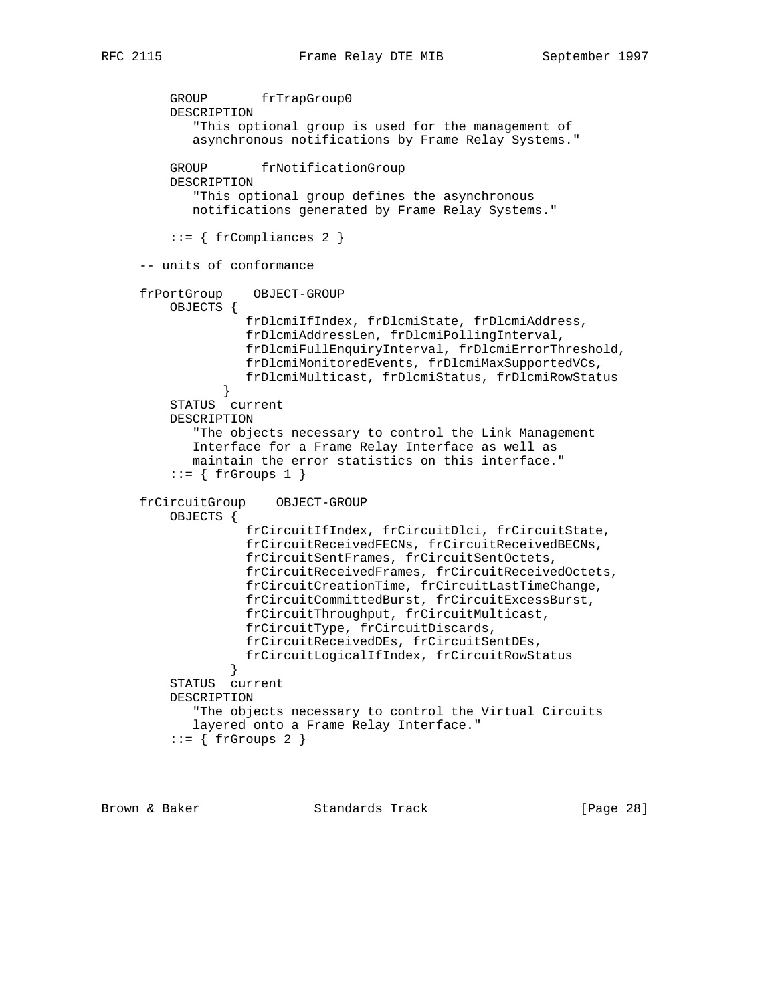```
 GROUP frTrapGroup0
         DESCRIPTION
            "This optional group is used for the management of
            asynchronous notifications by Frame Relay Systems."
        GROUP frNotificationGroup
         DESCRIPTION
            "This optional group defines the asynchronous
            notifications generated by Frame Relay Systems."
        ::= { frCompliances 2 }
     -- units of conformance
     frPortGroup OBJECT-GROUP
         OBJECTS {
                   frDlcmiIfIndex, frDlcmiState, frDlcmiAddress,
                   frDlcmiAddressLen, frDlcmiPollingInterval,
                   frDlcmiFullEnquiryInterval, frDlcmiErrorThreshold,
                   frDlcmiMonitoredEvents, frDlcmiMaxSupportedVCs,
                   frDlcmiMulticast, frDlcmiStatus, frDlcmiRowStatus
 }
         STATUS current
         DESCRIPTION
             "The objects necessary to control the Link Management
            Interface for a Frame Relay Interface as well as
            maintain the error statistics on this interface."
        ::= \{ frGroups 1 \} frCircuitGroup OBJECT-GROUP
         OBJECTS {
                   frCircuitIfIndex, frCircuitDlci, frCircuitState,
                   frCircuitReceivedFECNs, frCircuitReceivedBECNs,
                   frCircuitSentFrames, frCircuitSentOctets,
                   frCircuitReceivedFrames, frCircuitReceivedOctets,
                   frCircuitCreationTime, frCircuitLastTimeChange,
                   frCircuitCommittedBurst, frCircuitExcessBurst,
                   frCircuitThroughput, frCircuitMulticast,
                   frCircuitType, frCircuitDiscards,
                   frCircuitReceivedDEs, frCircuitSentDEs,
                 frCircuitLogicalIfIndex, frCircuitRowStatus
 }
         STATUS current
         DESCRIPTION
            "The objects necessary to control the Virtual Circuits
            layered onto a Frame Relay Interface."
        ::= \{ frGroups 2 \}
```
Brown & Baker Standards Track [Page 28]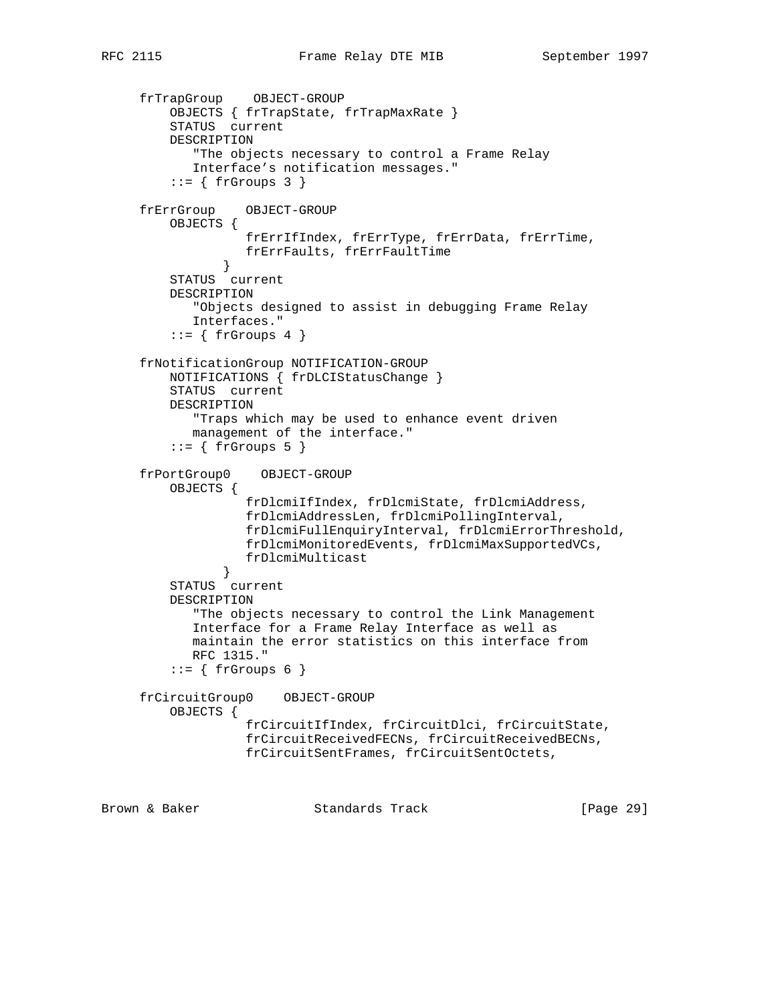```
 frTrapGroup OBJECT-GROUP
         OBJECTS { frTrapState, frTrapMaxRate }
         STATUS current
         DESCRIPTION
             "The objects necessary to control a Frame Relay
            Interface's notification messages."
         ::= \{ frGroups 3 \} frErrGroup OBJECT-GROUP
         OBJECTS {
                   frErrIfIndex, frErrType, frErrData, frErrTime,
                 frErrFaults, frErrFaultTime
 }
         STATUS current
         DESCRIPTION
            "Objects designed to assist in debugging Frame Relay
            Interfaces."
         ::= { frGroups 4 }
     frNotificationGroup NOTIFICATION-GROUP
         NOTIFICATIONS { frDLCIStatusChange }
         STATUS current
         DESCRIPTION
            "Traps which may be used to enhance event driven
            management of the interface."
         ::= \{ frGroups 5 \} frPortGroup0 OBJECT-GROUP
         OBJECTS {
                    frDlcmiIfIndex, frDlcmiState, frDlcmiAddress,
                    frDlcmiAddressLen, frDlcmiPollingInterval,
                    frDlcmiFullEnquiryInterval, frDlcmiErrorThreshold,
                    frDlcmiMonitoredEvents, frDlcmiMaxSupportedVCs,
                   frDlcmiMulticast
 }
         STATUS current
         DESCRIPTION
            "The objects necessary to control the Link Management
            Interface for a Frame Relay Interface as well as
            maintain the error statistics on this interface from
            RFC 1315."
         ::= { frGroups 6 }
     frCircuitGroup0 OBJECT-GROUP
         OBJECTS {
                   frCircuitIfIndex, frCircuitDlci, frCircuitState,
                    frCircuitReceivedFECNs, frCircuitReceivedBECNs,
                    frCircuitSentFrames, frCircuitSentOctets,
```
Brown & Baker Standards Track [Page 29]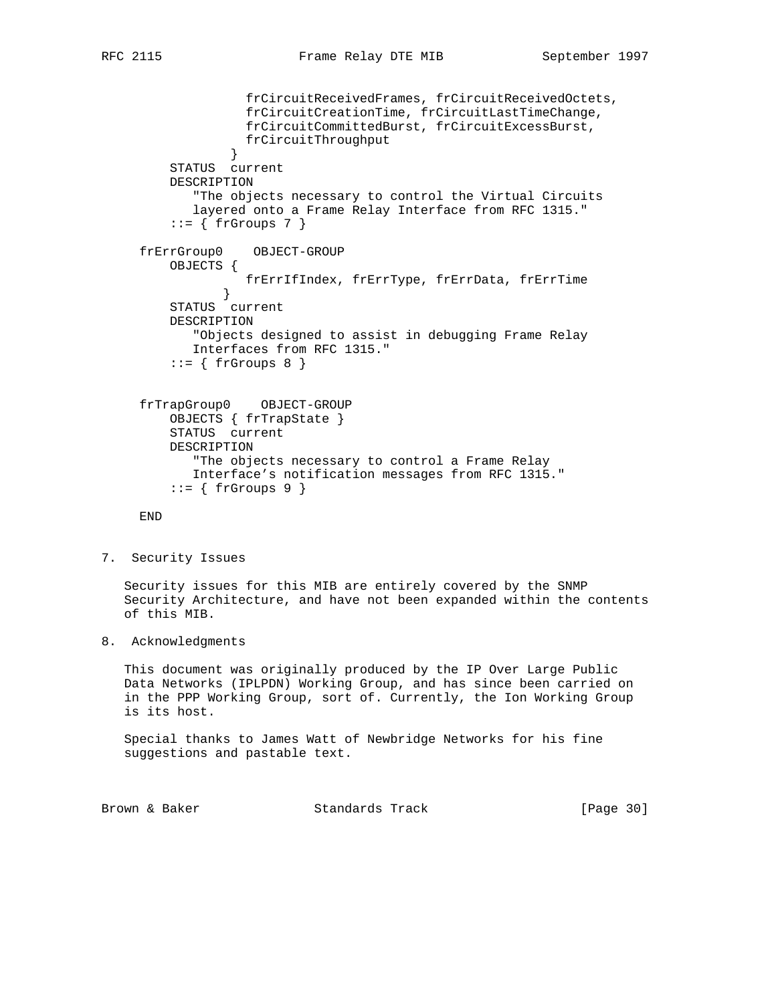```
 frCircuitReceivedFrames, frCircuitReceivedOctets,
                   frCircuitCreationTime, frCircuitLastTimeChange,
                   frCircuitCommittedBurst, frCircuitExcessBurst,
                   frCircuitThroughput
 }
         STATUS current
         DESCRIPTION
            "The objects necessary to control the Virtual Circuits
            layered onto a Frame Relay Interface from RFC 1315."
        ::= \{ frGroups 7 \} frErrGroup0 OBJECT-GROUP
         OBJECTS {
                frErrIfIndex, frErrType, frErrData, frErrTime
 }
         STATUS current
         DESCRIPTION
            "Objects designed to assist in debugging Frame Relay
            Interfaces from RFC 1315."
        ::= \{ frGroups 8 \} frTrapGroup0 OBJECT-GROUP
         OBJECTS { frTrapState }
         STATUS current
         DESCRIPTION
            "The objects necessary to control a Frame Relay
            Interface's notification messages from RFC 1315."
        ::= \{ frGroups 9 \} END
```

```
7. Security Issues
```
 Security issues for this MIB are entirely covered by the SNMP Security Architecture, and have not been expanded within the contents of this MIB.

8. Acknowledgments

 This document was originally produced by the IP Over Large Public Data Networks (IPLPDN) Working Group, and has since been carried on in the PPP Working Group, sort of. Currently, the Ion Working Group is its host.

 Special thanks to James Watt of Newbridge Networks for his fine suggestions and pastable text.

Brown & Baker Standards Track [Page 30]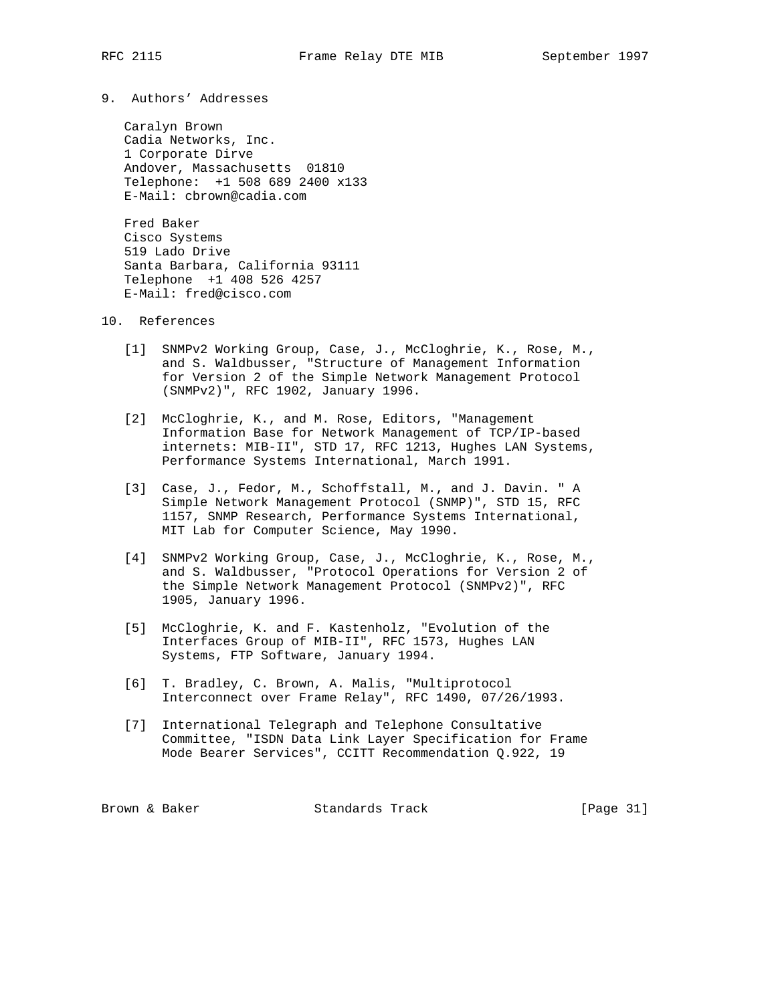9. Authors' Addresses

 Caralyn Brown Cadia Networks, Inc. 1 Corporate Dirve Andover, Massachusetts 01810 Telephone: +1 508 689 2400 x133 E-Mail: cbrown@cadia.com

 Fred Baker Cisco Systems 519 Lado Drive Santa Barbara, California 93111 Telephone +1 408 526 4257 E-Mail: fred@cisco.com

- 10. References
	- [1] SNMPv2 Working Group, Case, J., McCloghrie, K., Rose, M., and S. Waldbusser, "Structure of Management Information for Version 2 of the Simple Network Management Protocol (SNMPv2)", RFC 1902, January 1996.
	- [2] McCloghrie, K., and M. Rose, Editors, "Management Information Base for Network Management of TCP/IP-based internets: MIB-II", STD 17, RFC 1213, Hughes LAN Systems, Performance Systems International, March 1991.
	- [3] Case, J., Fedor, M., Schoffstall, M., and J. Davin. " A Simple Network Management Protocol (SNMP)", STD 15, RFC 1157, SNMP Research, Performance Systems International, MIT Lab for Computer Science, May 1990.
	- [4] SNMPv2 Working Group, Case, J., McCloghrie, K., Rose, M., and S. Waldbusser, "Protocol Operations for Version 2 of the Simple Network Management Protocol (SNMPv2)", RFC 1905, January 1996.
	- [5] McCloghrie, K. and F. Kastenholz, "Evolution of the Interfaces Group of MIB-II", RFC 1573, Hughes LAN Systems, FTP Software, January 1994.
	- [6] T. Bradley, C. Brown, A. Malis, "Multiprotocol Interconnect over Frame Relay", RFC 1490, 07/26/1993.
	- [7] International Telegraph and Telephone Consultative Committee, "ISDN Data Link Layer Specification for Frame Mode Bearer Services", CCITT Recommendation Q.922, 19

Brown & Baker Standards Track [Page 31]